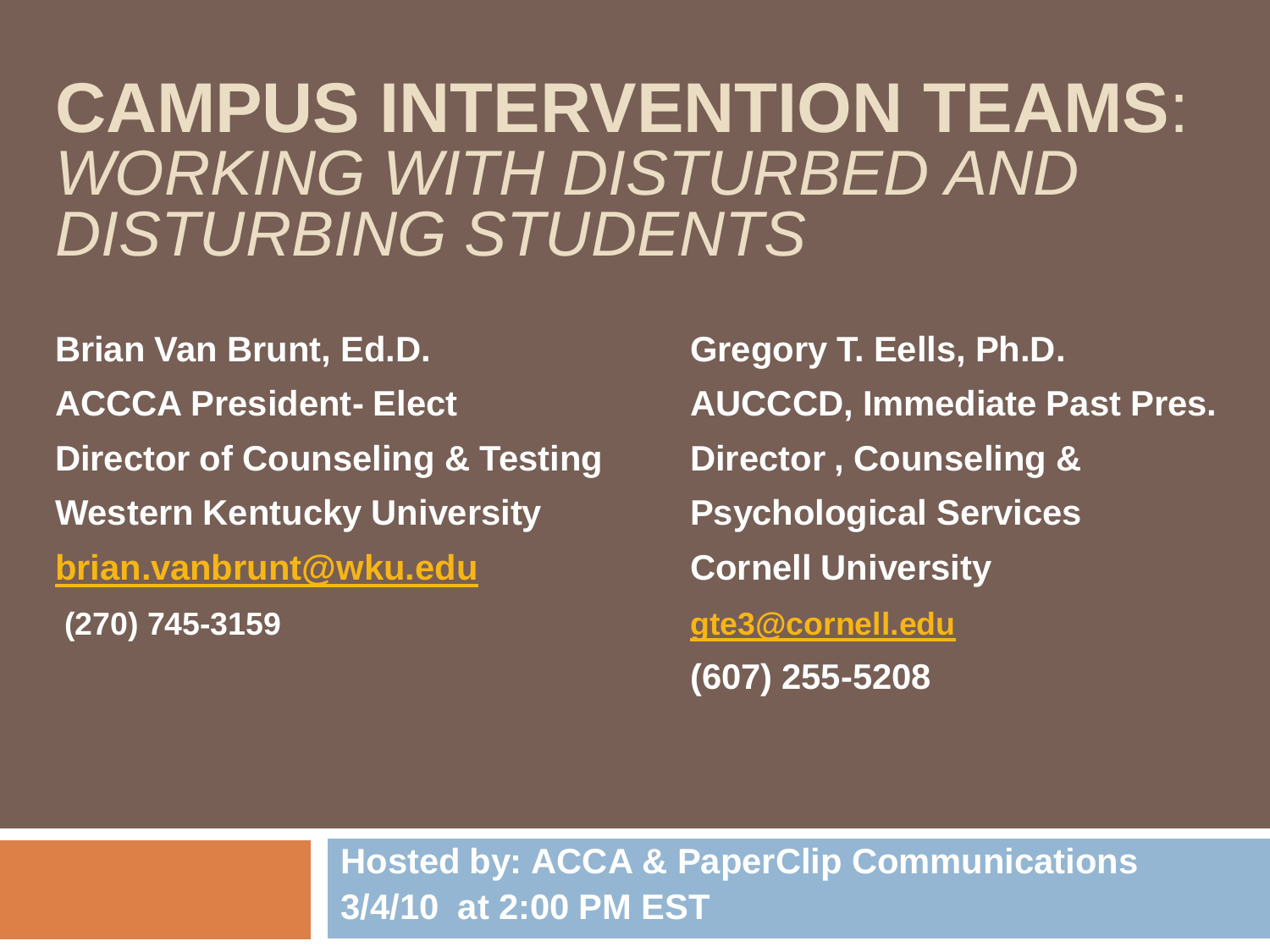#### **CAMPUS INTERVENTION TEAMS**: *WORKING WITH DISTURBED AND DISTURBING STUDENTS*

**Brian Van Brunt, Ed.D. Gregory T. Eells, Ph.D. ACCCA President- Elect AUCCCD, Immediate Past Pres. Director of Counseling & Testing Director , Counseling & Western Kentucky University Psychological Services [brian.vanbrunt@wku.edu](mailto:brian.vanbrunt@wku.edu) Cornell University (270) 745-3159 [gte3@cornell.edu](mailto:gte3@cornell.edu)**

**(607) 255-5208**

**Hosted by: ACCA & PaperClip Communications 3/4/10 at 2:00 PM EST**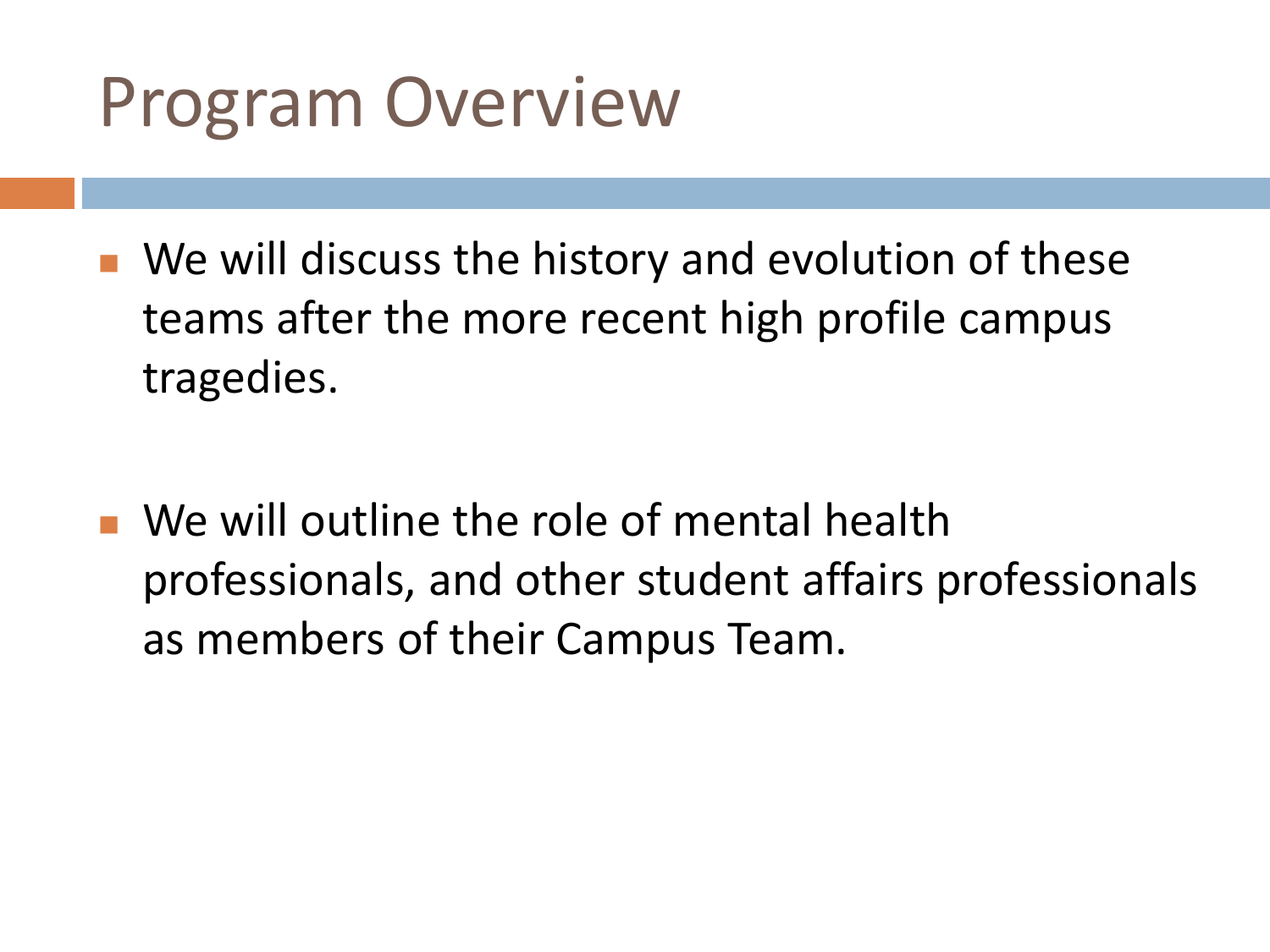#### Program Overview

- We will discuss the history and evolution of these teams after the more recent high profile campus tragedies.
- We will outline the role of mental health professionals, and other student affairs professionals as members of their Campus Team.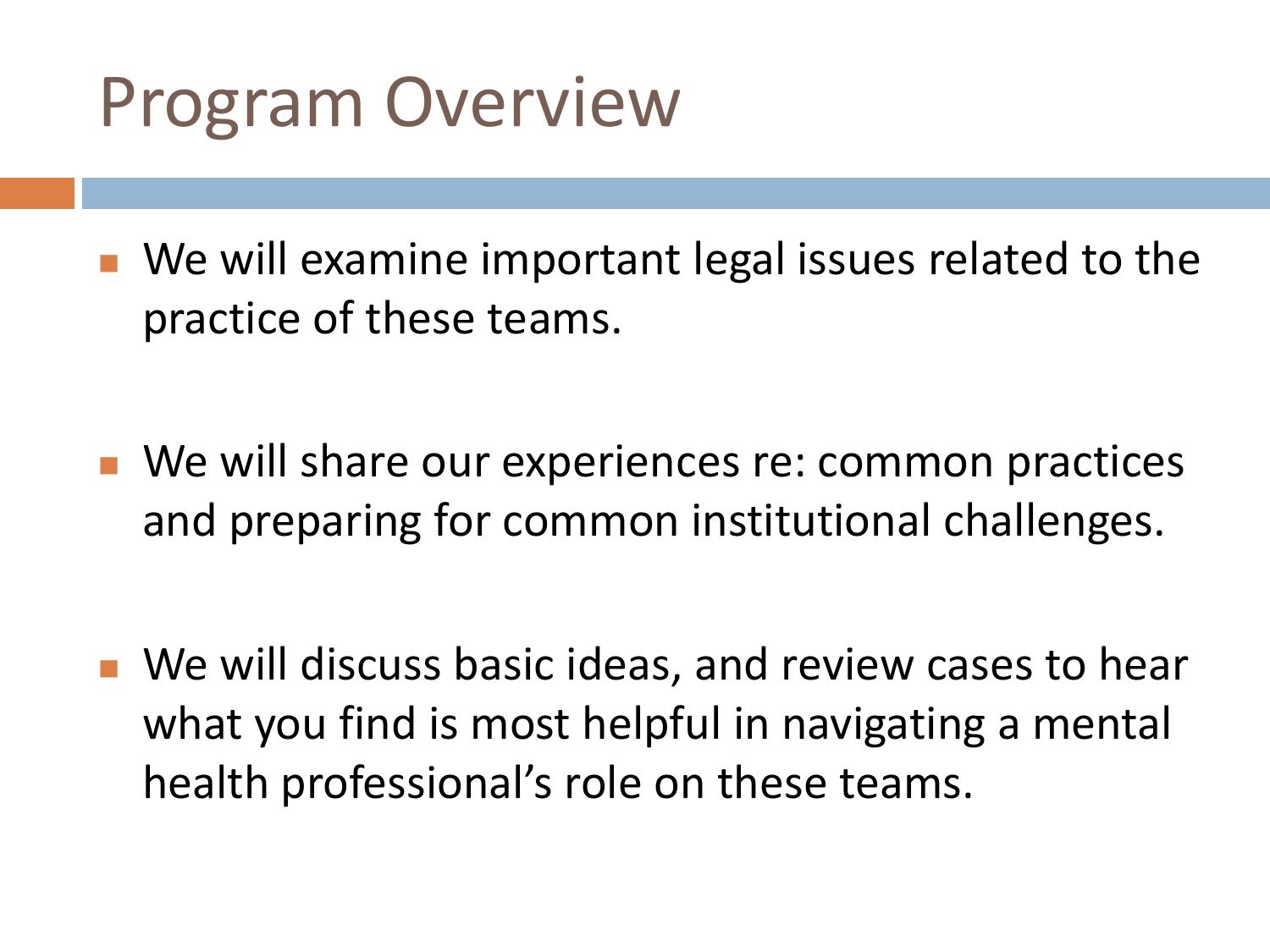#### Program Overview

- We will examine important legal issues related to the practice of these teams.
- We will share our experiences re: common practices and preparing for common institutional challenges.
- We will discuss basic ideas, and review cases to hear what you find is most helpful in navigating a mental health professional's role on these teams.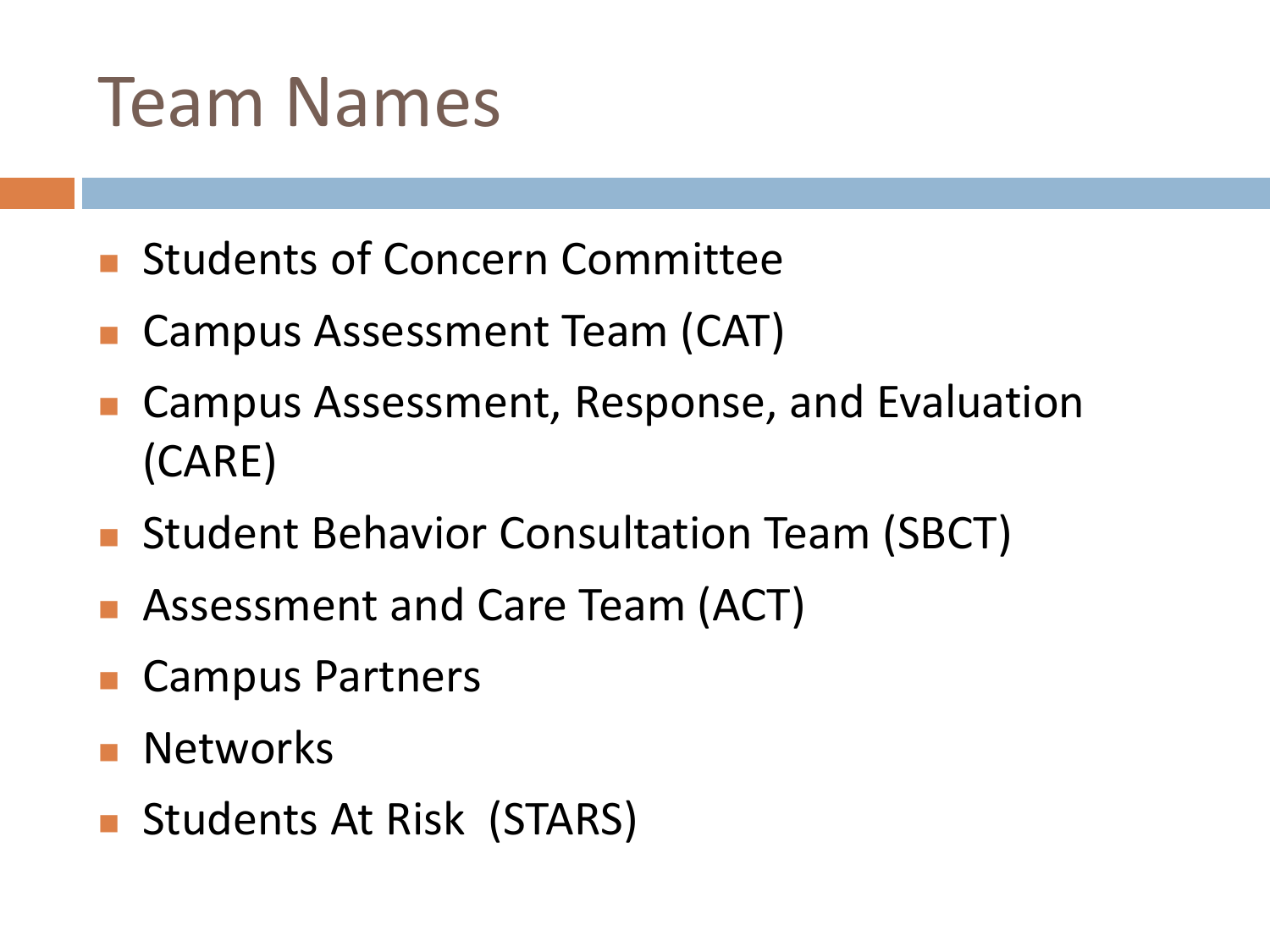#### Team Names

- **Students of Concern Committee**
- Campus Assessment Team (CAT)
- Campus Assessment, Response, and Evaluation (CARE)
- **Student Behavior Consultation Team (SBCT)**
- Assessment and Care Team (ACT)
- Campus Partners
- Networks
- **Students At Risk (STARS)**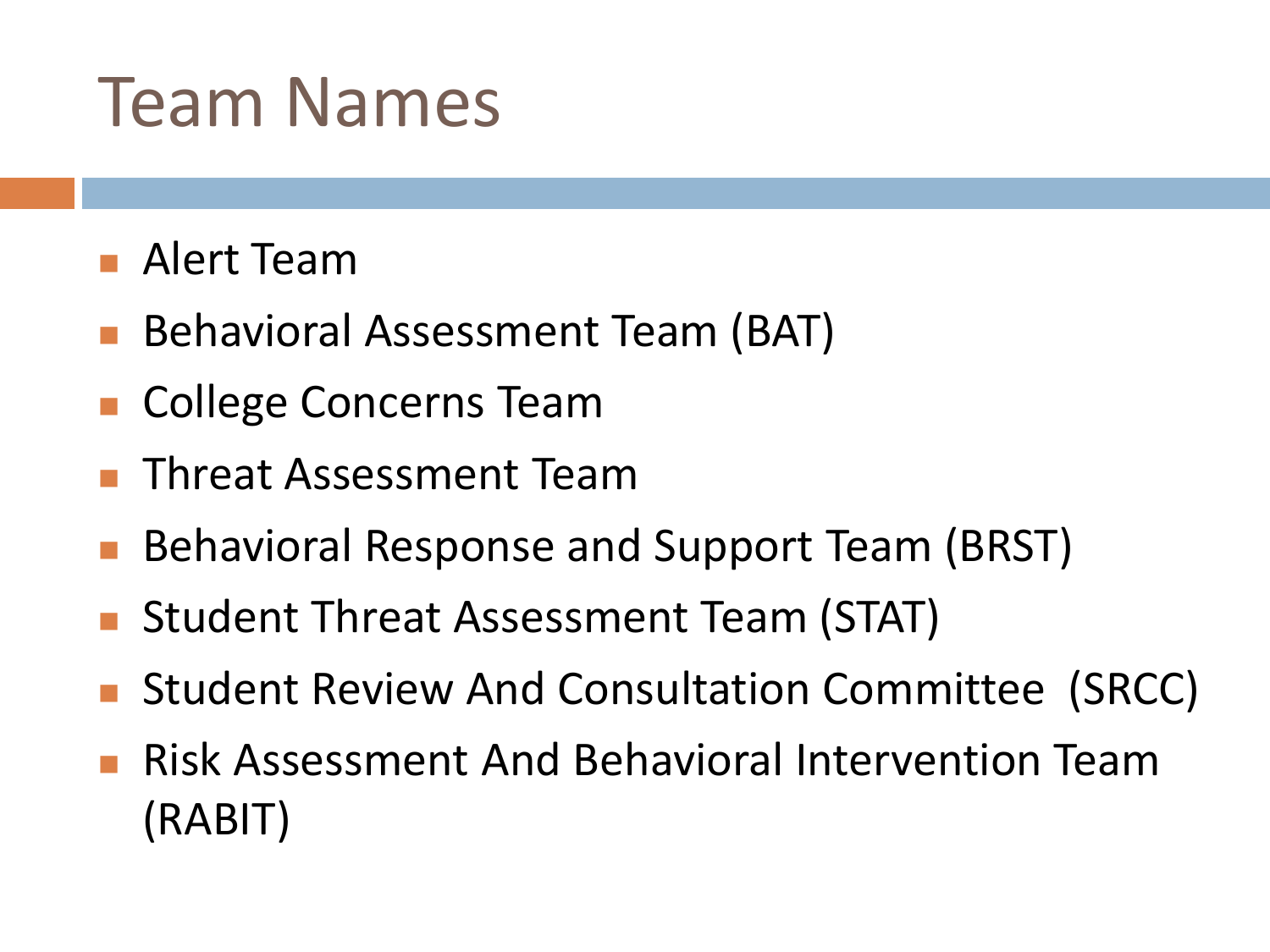#### Team Names

- **Alert Team**
- Behavioral Assessment Team (BAT)
- College Concerns Team
- Threat Assessment Team
- Behavioral Response and Support Team (BRST)
- Student Threat Assessment Team (STAT)
- Student Review And Consultation Committee (SRCC)
- **Risk Assessment And Behavioral Intervention Team** (RABIT)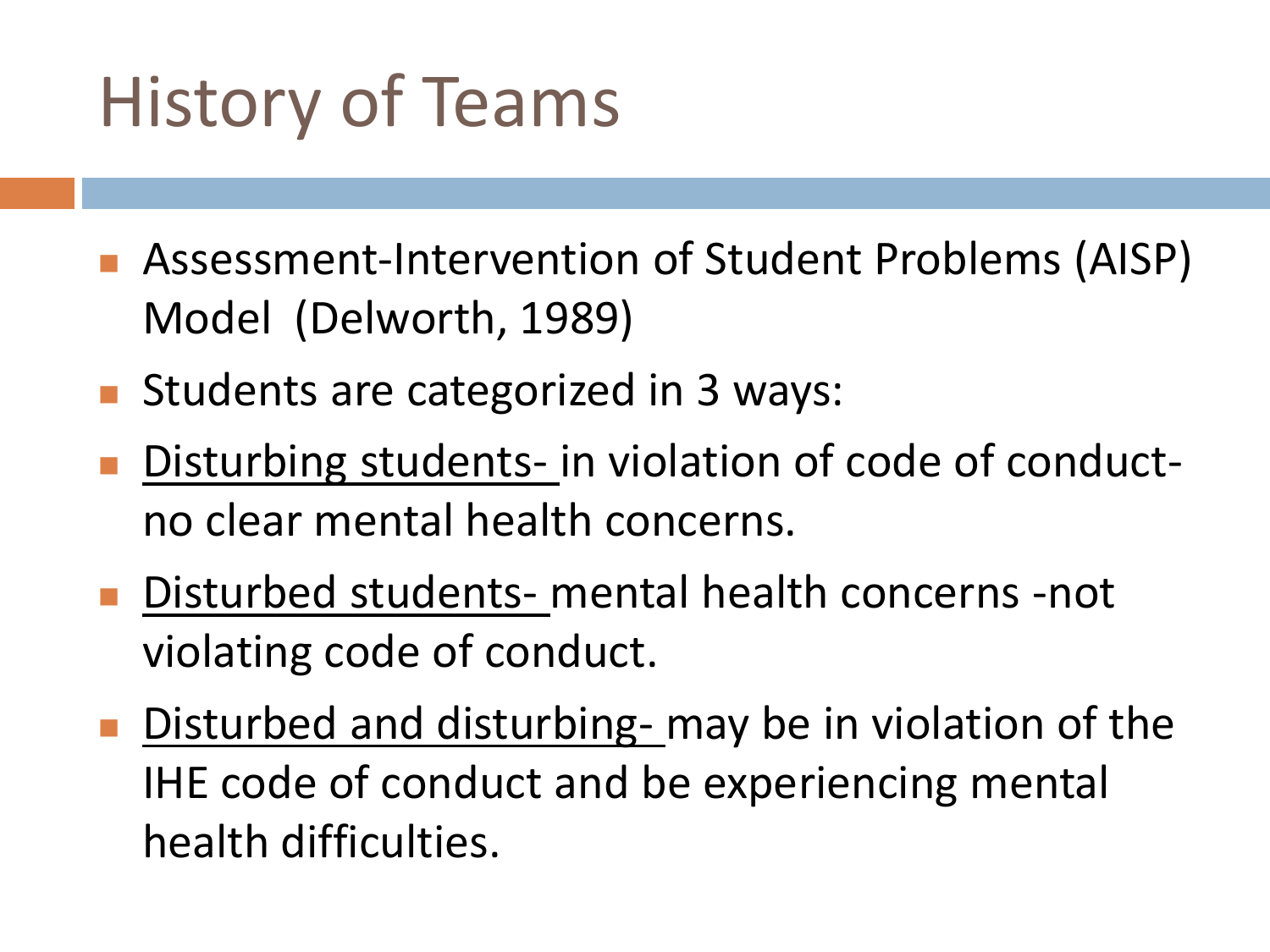### History of Teams

- Assessment-Intervention of Student Problems (AISP) Model (Delworth, 1989)
- Students are categorized in 3 ways:
- Disturbing students- in violation of code of conductno clear mental health concerns.
- Disturbed students- mental health concerns -not violating code of conduct.
- Disturbed and disturbing- may be in violation of the IHE code of conduct and be experiencing mental health difficulties.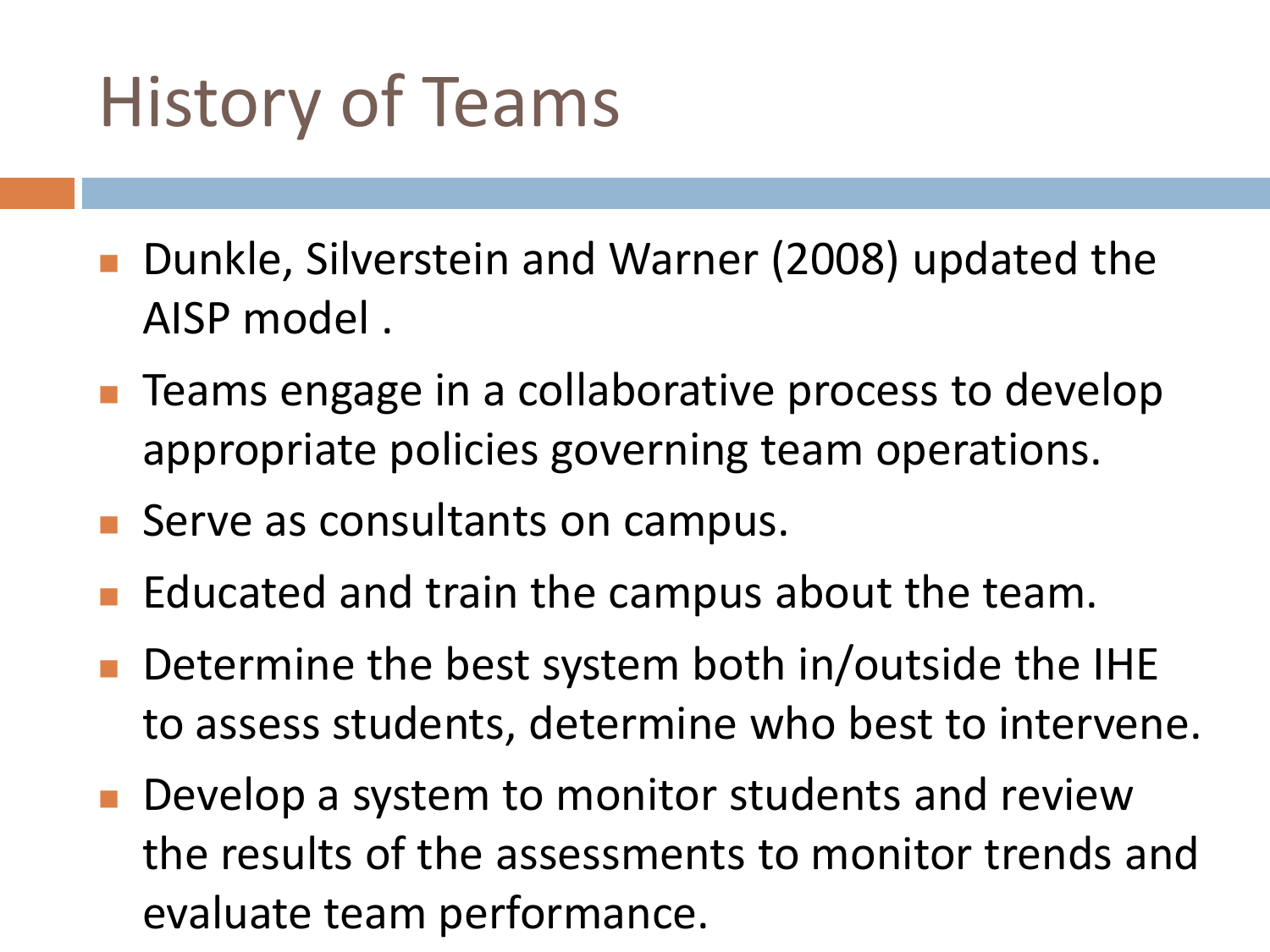### History of Teams

- Dunkle, Silverstein and Warner (2008) updated the AISP model .
- Teams engage in a collaborative process to develop appropriate policies governing team operations.
- Serve as consultants on campus.
- Educated and train the campus about the team.
- Determine the best system both in/outside the IHE to assess students, determine who best to intervene.
- Develop a system to monitor students and review the results of the assessments to monitor trends and evaluate team performance.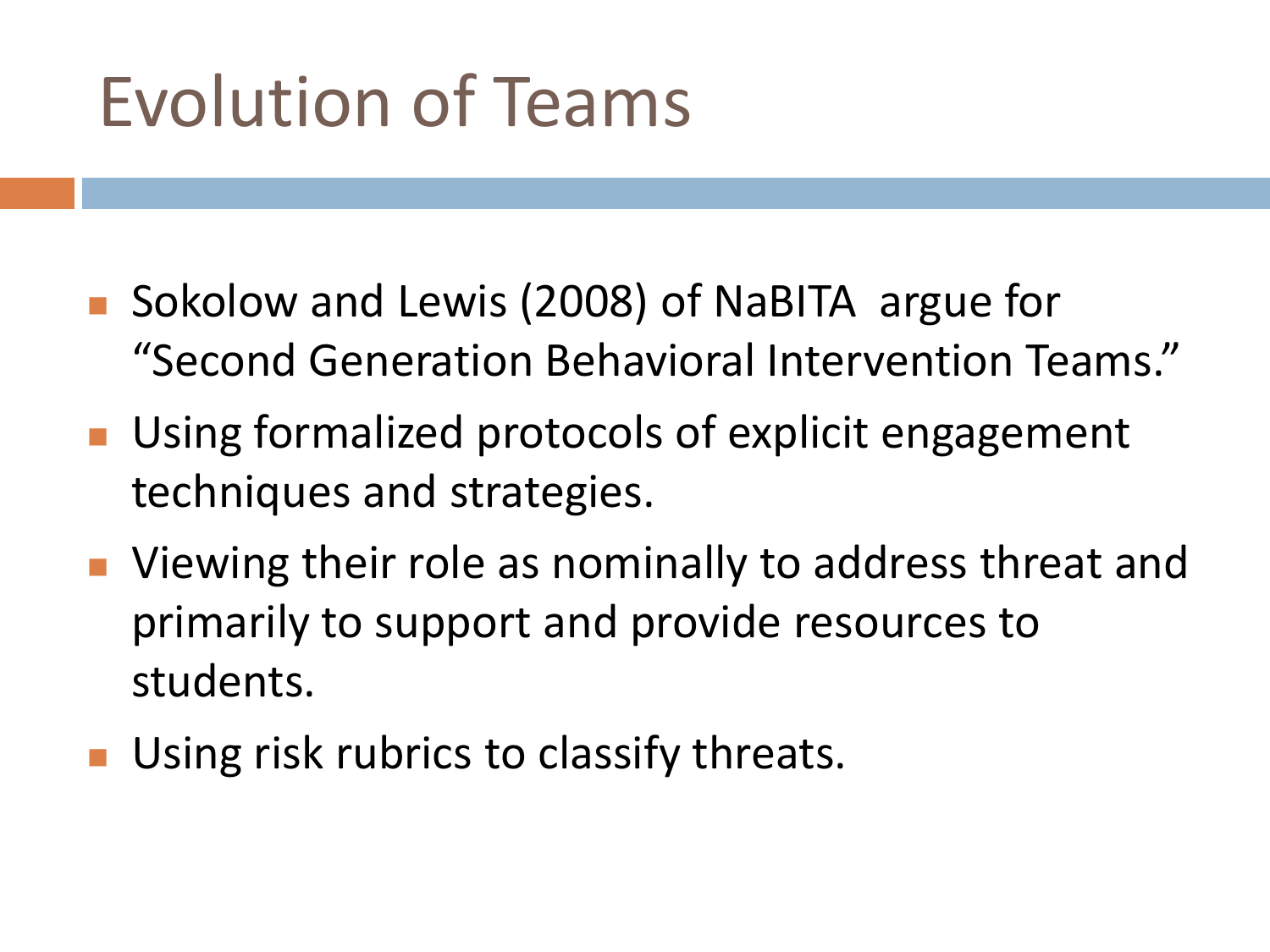- Sokolow and Lewis (2008) of NaBITA argue for "Second Generation Behavioral Intervention Teams."
- **Using formalized protocols of explicit engagement** techniques and strategies.
- **Niewing their role as nominally to address threat and** primarily to support and provide resources to students.
- **Using risk rubrics to classify threats.**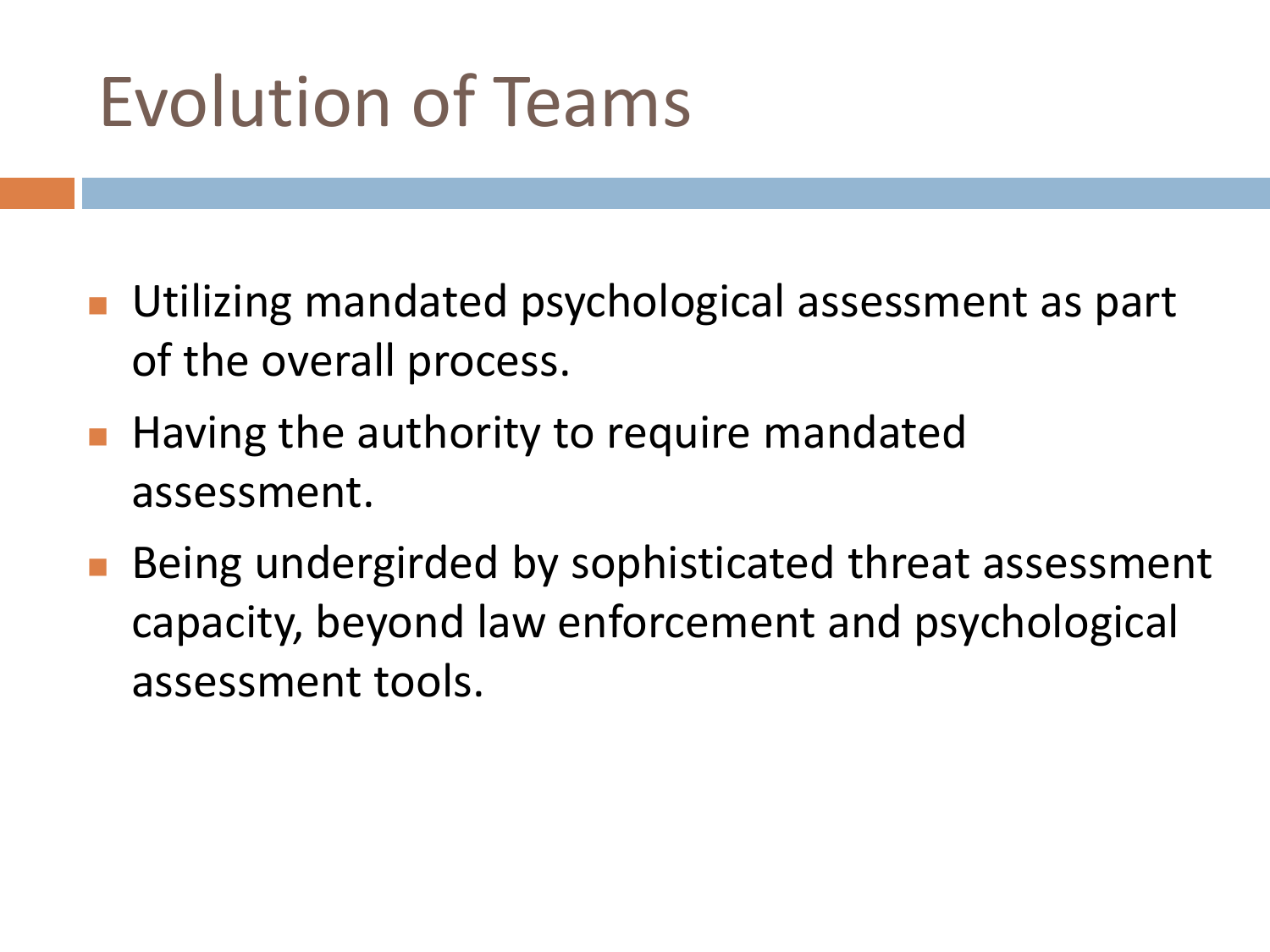- **Utilizing mandated psychological assessment as part** of the overall process.
- **Having the authority to require mandated** assessment.
- **Being undergirded by sophisticated threat assessment** capacity, beyond law enforcement and psychological assessment tools.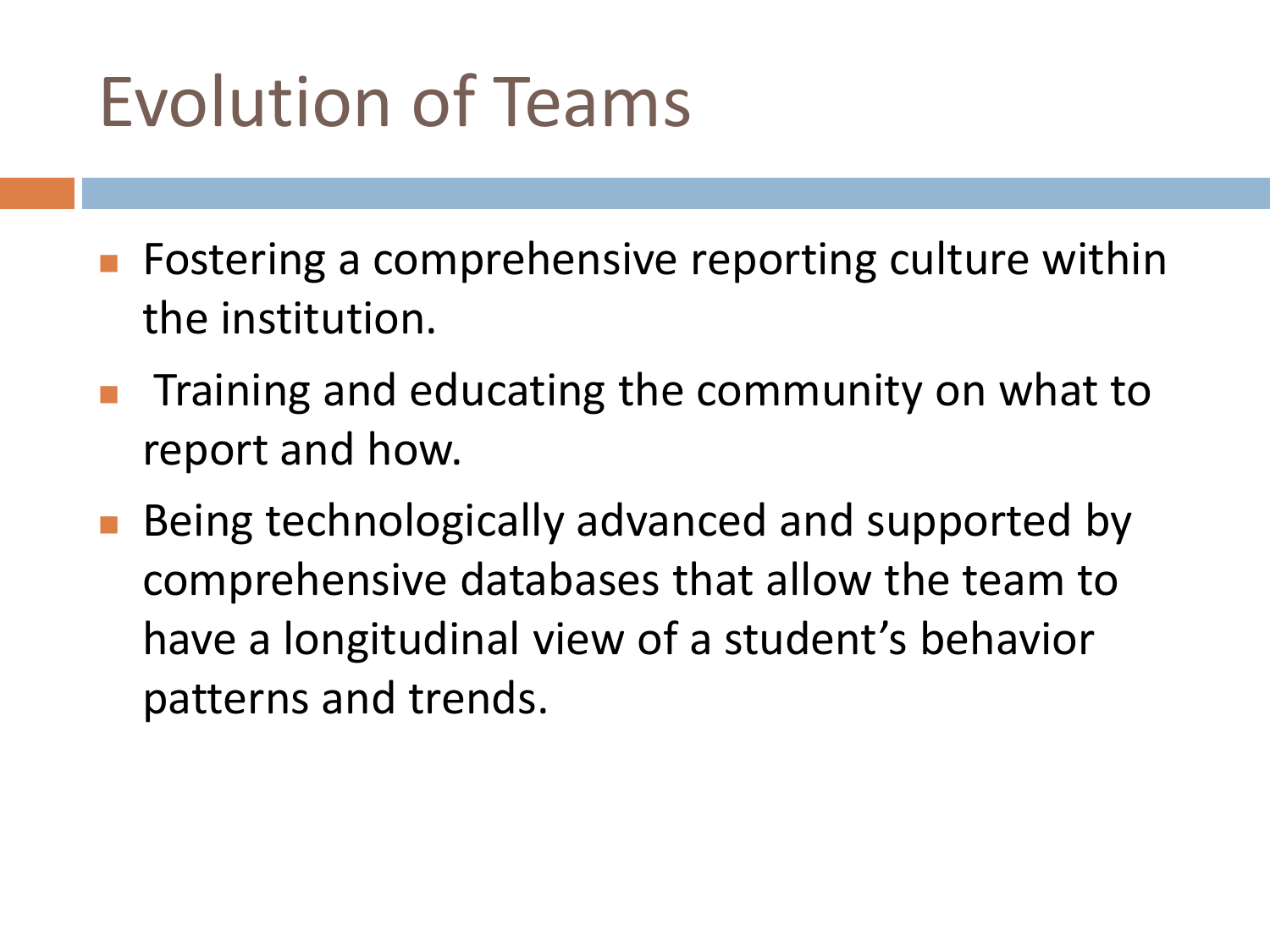- **F** Fostering a comprehensive reporting culture within the institution.
- Training and educating the community on what to report and how.
- Being technologically advanced and supported by comprehensive databases that allow the team to have a longitudinal view of a student's behavior patterns and trends.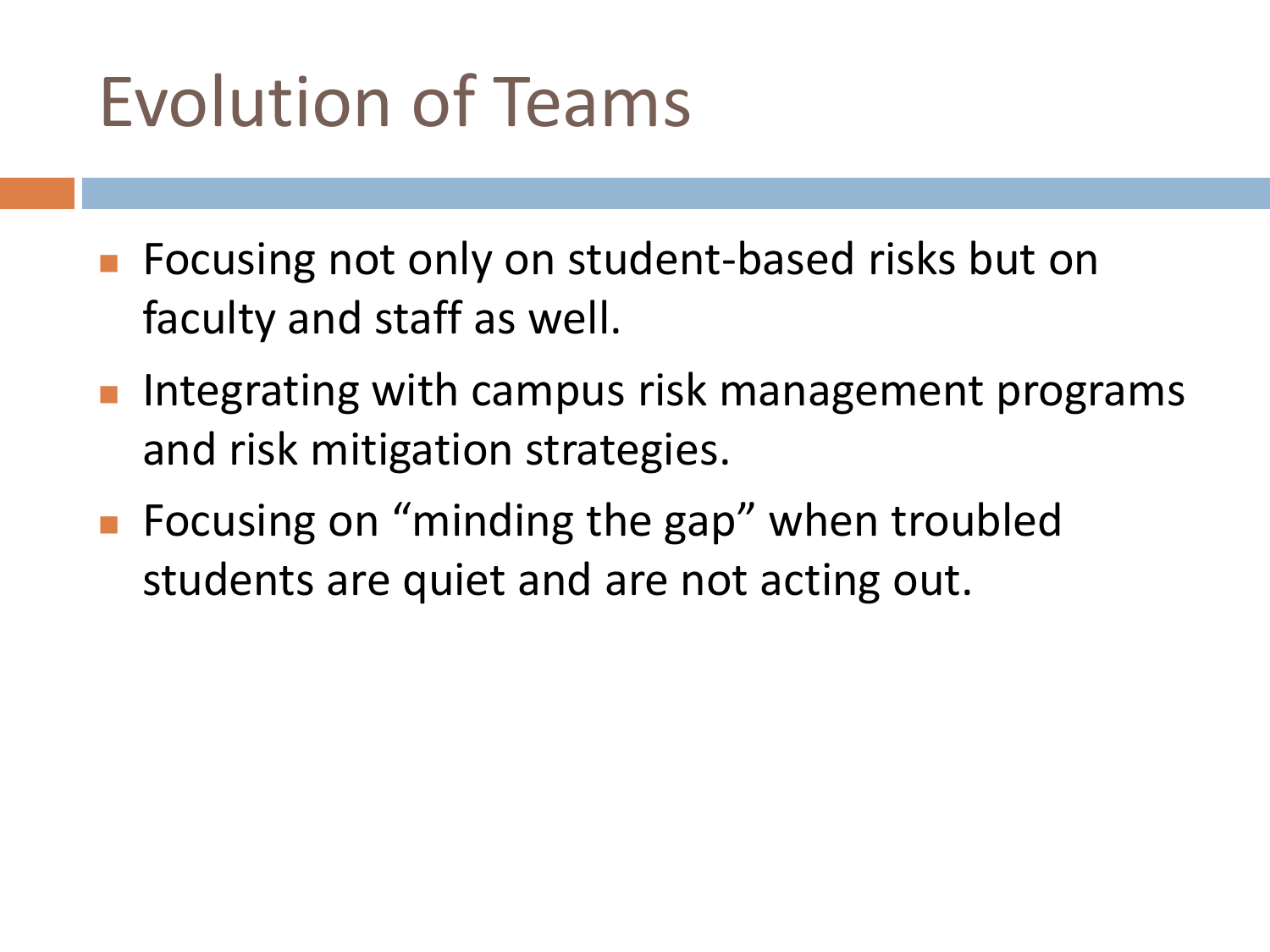- **Fig. 2** Focusing not only on student-based risks but on faculty and staff as well.
- Integrating with campus risk management programs and risk mitigation strategies.
- Focusing on "minding the gap" when troubled students are quiet and are not acting out.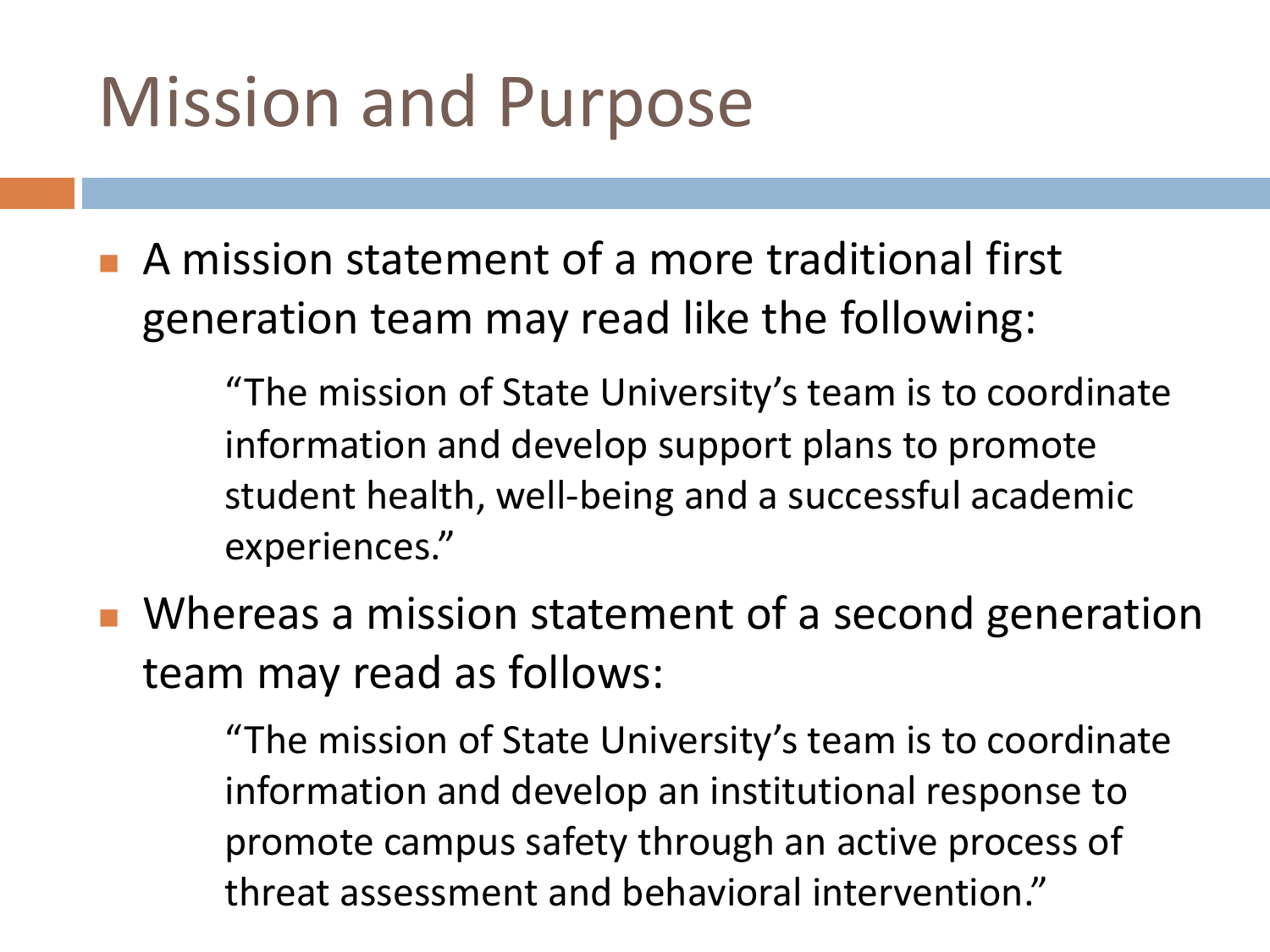#### Mission and Purpose

 A mission statement of a more traditional first generation team may read like the following:

> "The mission of State University's team is to coordinate information and develop support plans to promote student health, well-being and a successful academic experiences."

**Number** Whereas a mission statement of a second generation team may read as follows:

> "The mission of State University's team is to coordinate information and develop an institutional response to promote campus safety through an active process of threat assessment and behavioral intervention."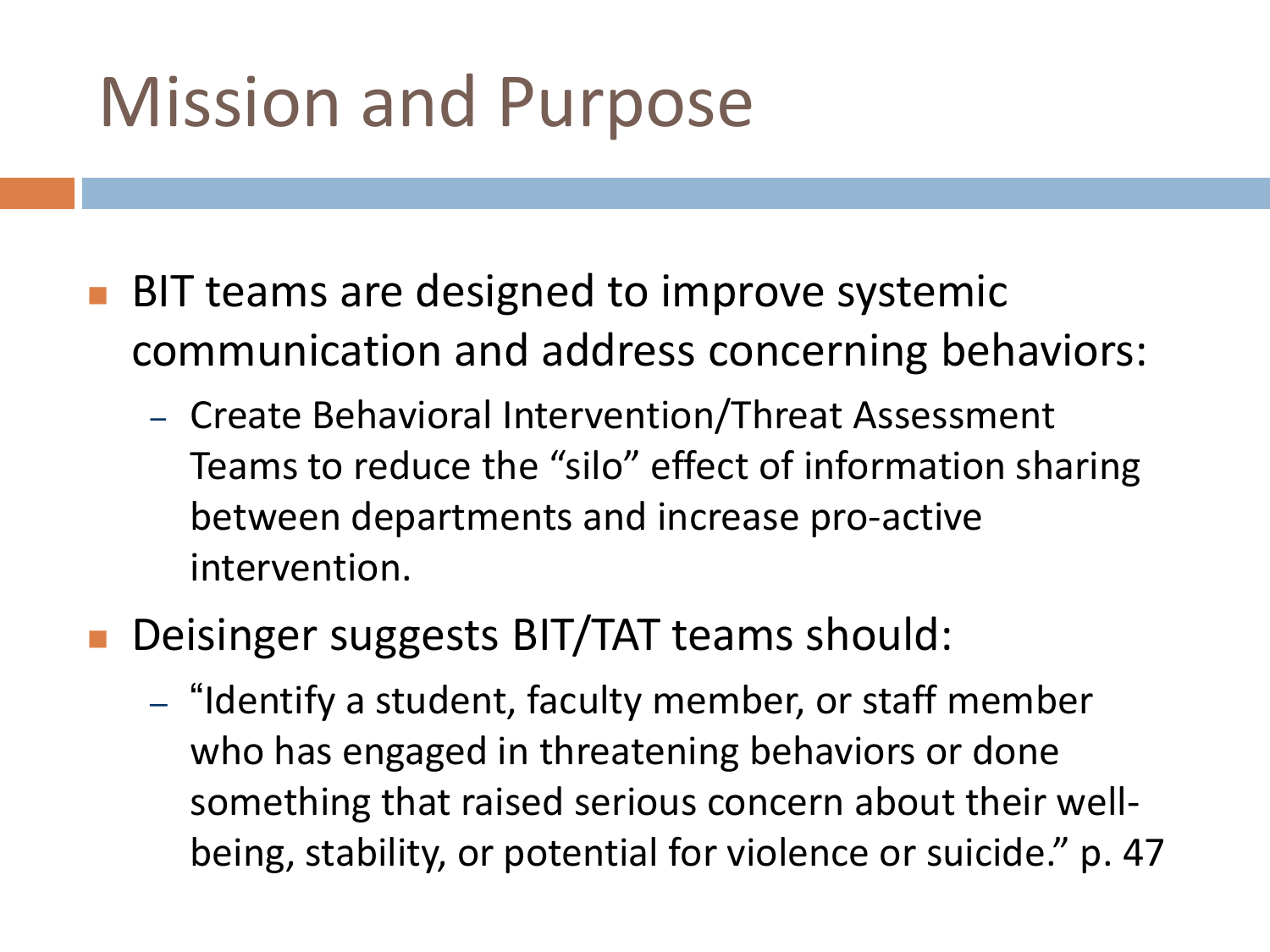#### Mission and Purpose

- **BIT teams are designed to improve systemic** communication and address concerning behaviors:
	- Create Behavioral Intervention/Threat Assessment Teams to reduce the "silo" effect of information sharing between departments and increase pro-active intervention.
- **Deisinger suggests BIT/TAT teams should:** 
	- "Identify a student, faculty member, or staff member who has engaged in threatening behaviors or done something that raised serious concern about their wellbeing, stability, or potential for violence or suicide." p. 47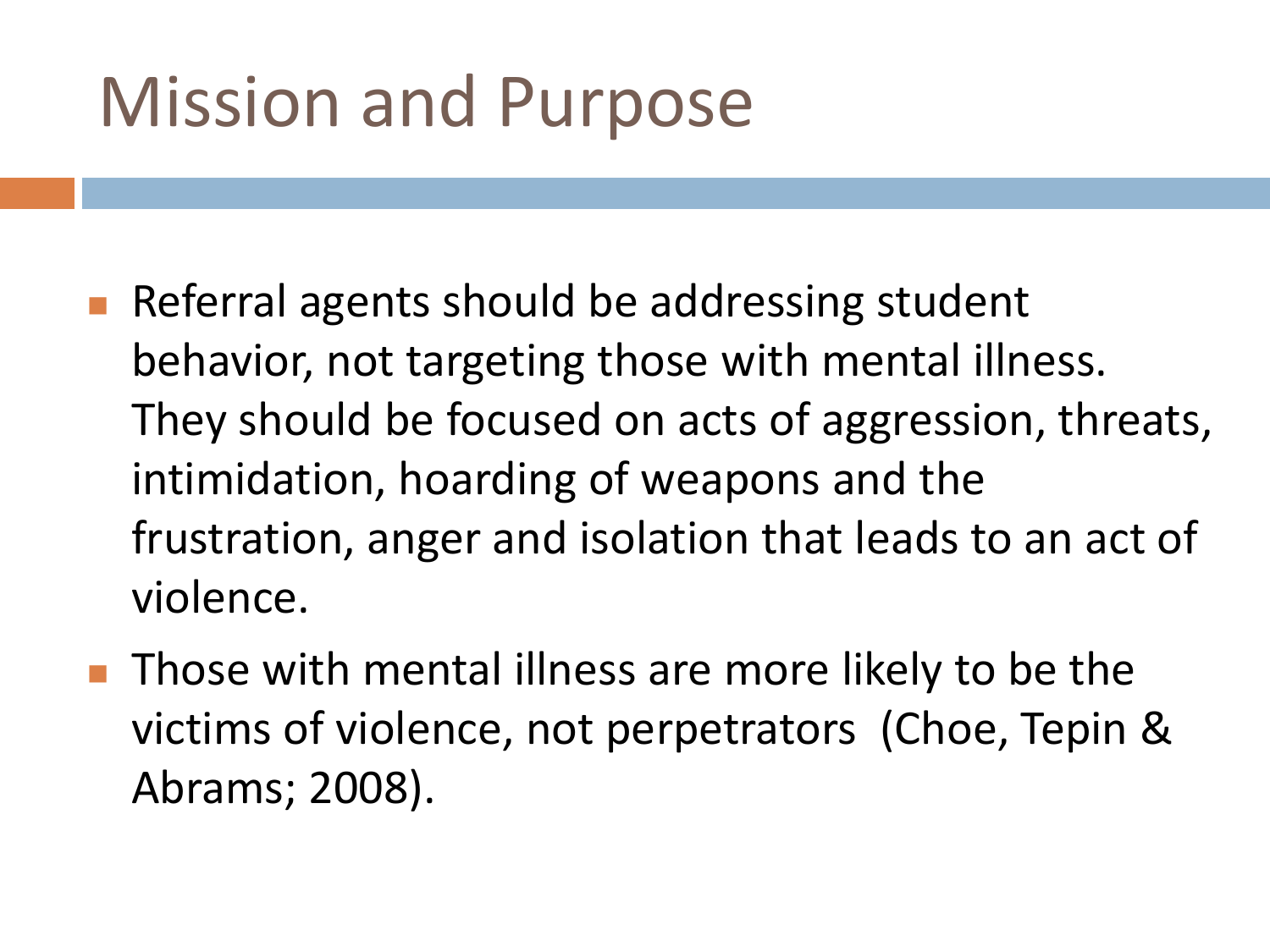#### Mission and Purpose

- Referral agents should be addressing student behavior, not targeting those with mental illness. They should be focused on acts of aggression, threats, intimidation, hoarding of weapons and the frustration, anger and isolation that leads to an act of violence.
- **Those with mental illness are more likely to be the** victims of violence, not perpetrators (Choe, Tepin & Abrams; 2008).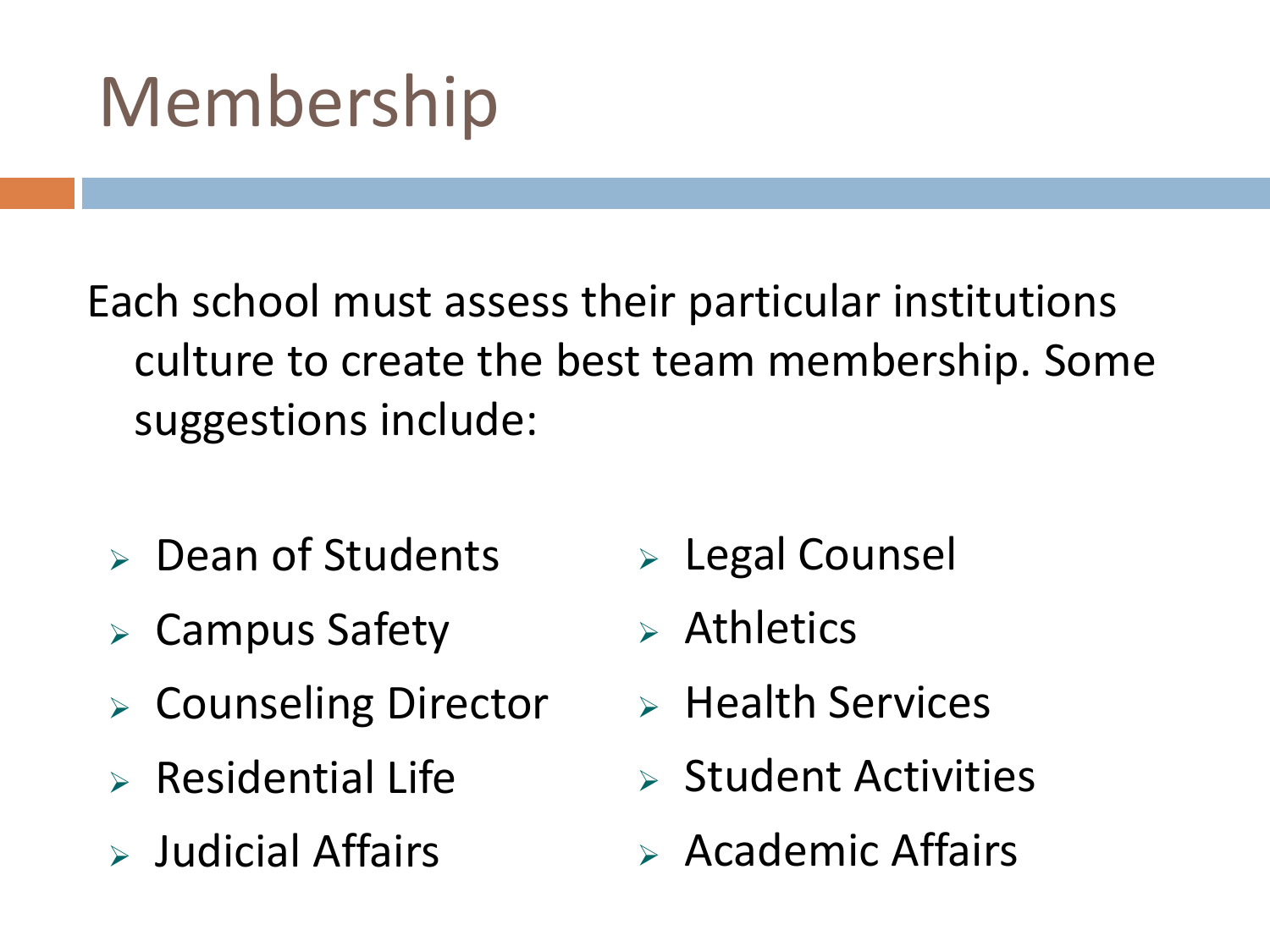### Membership

Each school must assess their particular institutions culture to create the best team membership. Some suggestions include:

- $\triangleright$  Dean of Students
- $\triangleright$  Campus Safety
- Counseling Director
- $\triangleright$  Residential Life
- $\triangleright$  Judicial Affairs
- Legal Counsel
- $\triangleright$  Athletics
- $\triangleright$  Health Services
- $\triangleright$  Student Activities
- $\triangleright$  Academic Affairs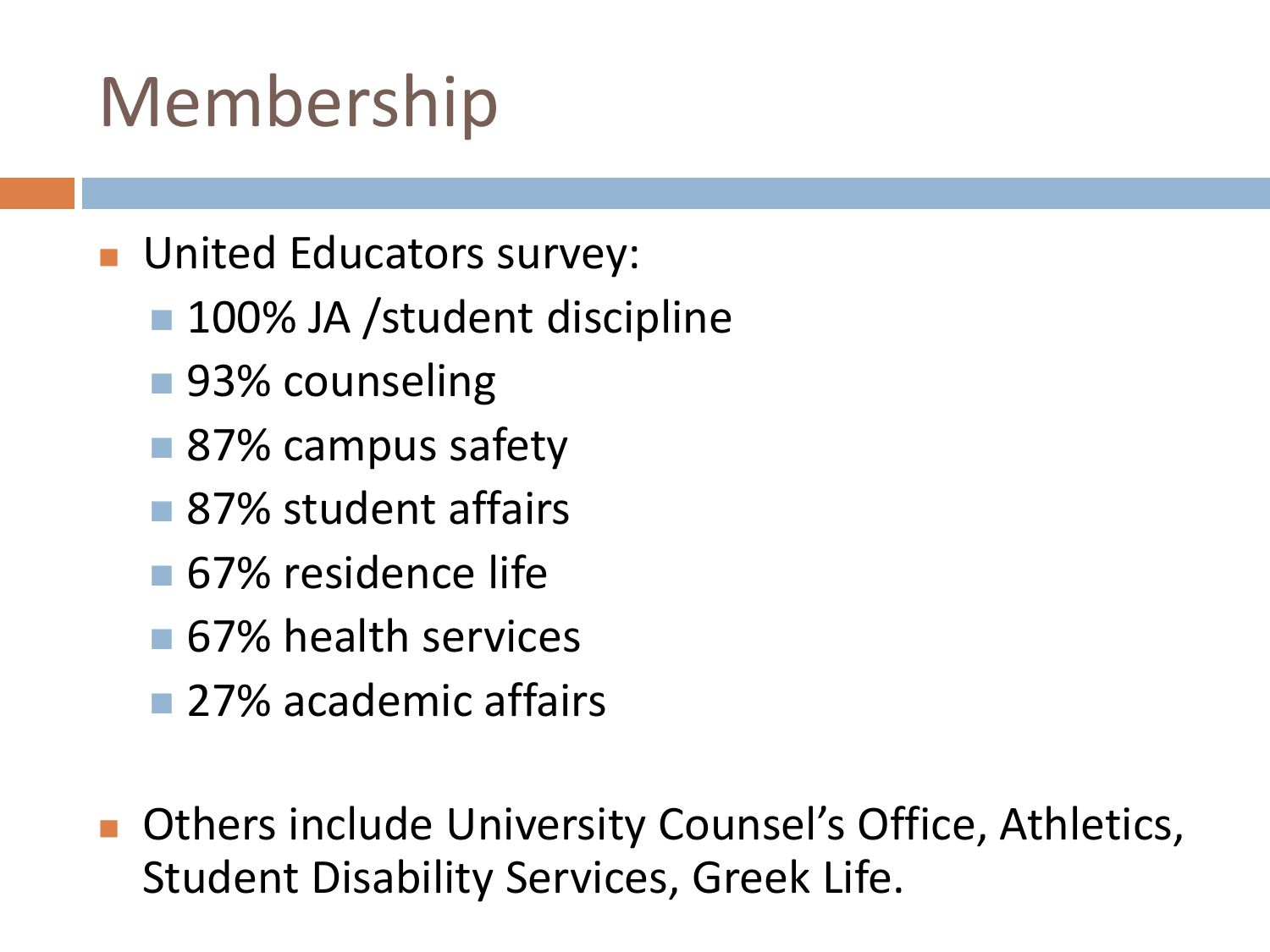### Membership

- **United Educators survey:** 
	- 100% JA /student discipline
	- 93% counseling
	- 87% campus safety
	- 87% student affairs
	- **67%** residence life
	- **67% health services**
	- 27% academic affairs
- Others include University Counsel's Office, Athletics, Student Disability Services, Greek Life.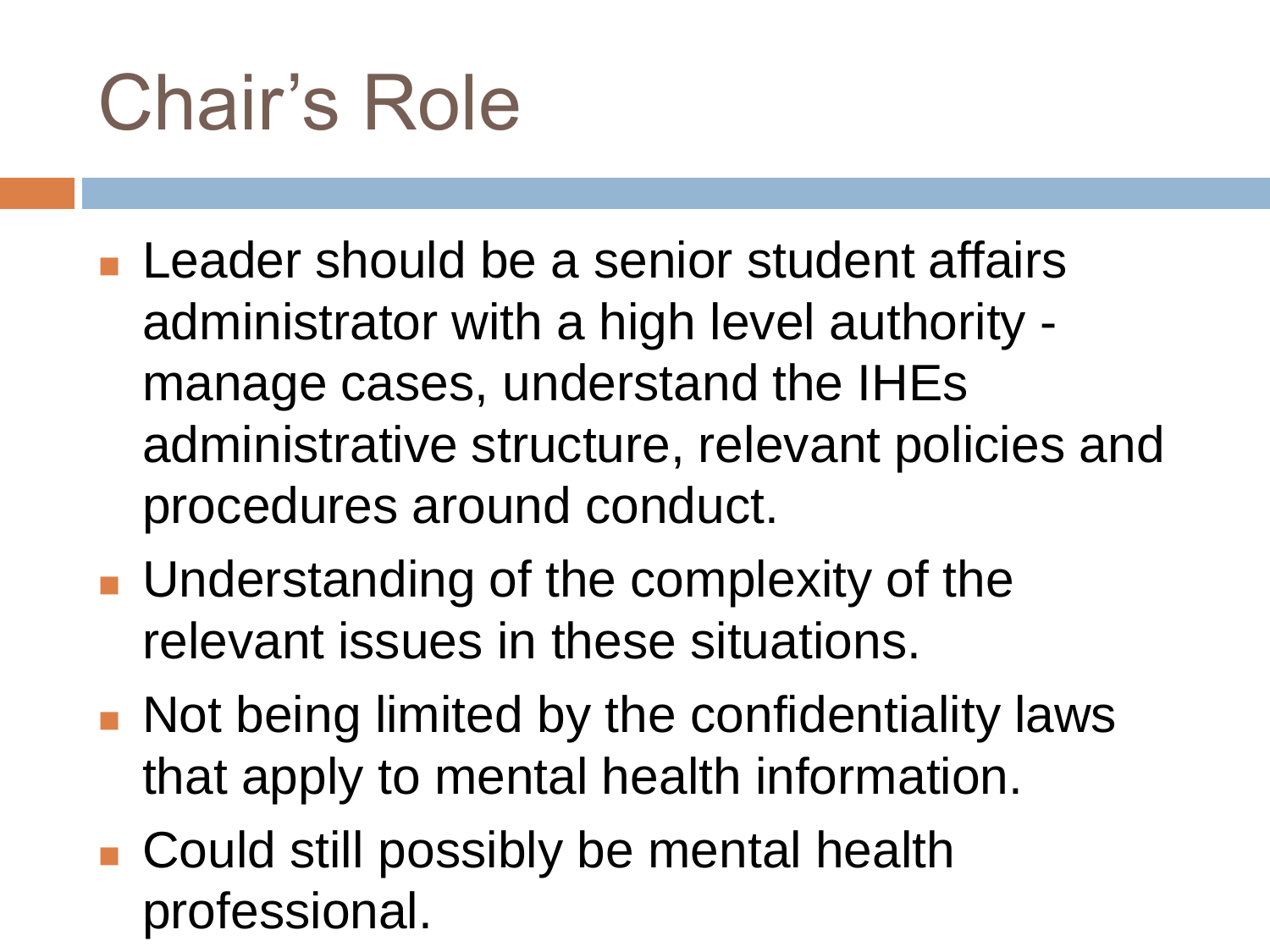# Chair's Role

- **Leader should be a senior student affairs** administrator with a high level authority manage cases, understand the IHEs administrative structure, relevant policies and procedures around conduct.
- **Understanding of the complexity of the** relevant issues in these situations.
- **Not being limited by the confidentiality laws** that apply to mental health information.
- Could still possibly be mental health professional.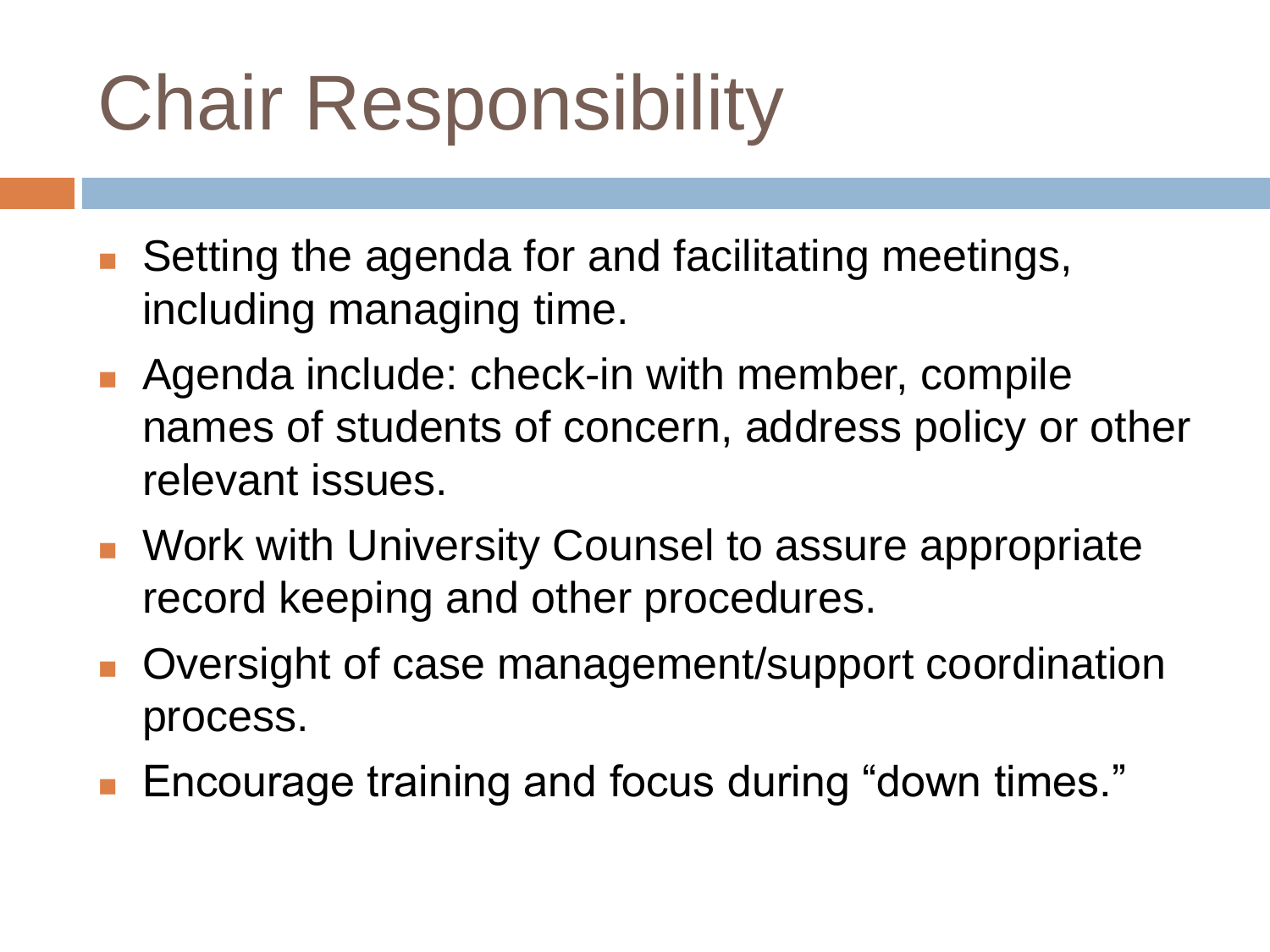# Chair Responsibility

- Setting the agenda for and facilitating meetings, including managing time.
- **Agenda include: check-in with member, compile** names of students of concern, address policy or other relevant issues.
- **Nork with University Counsel to assure appropriate** record keeping and other procedures.
- Oversight of case management/support coordination process.
- Encourage training and focus during "down times."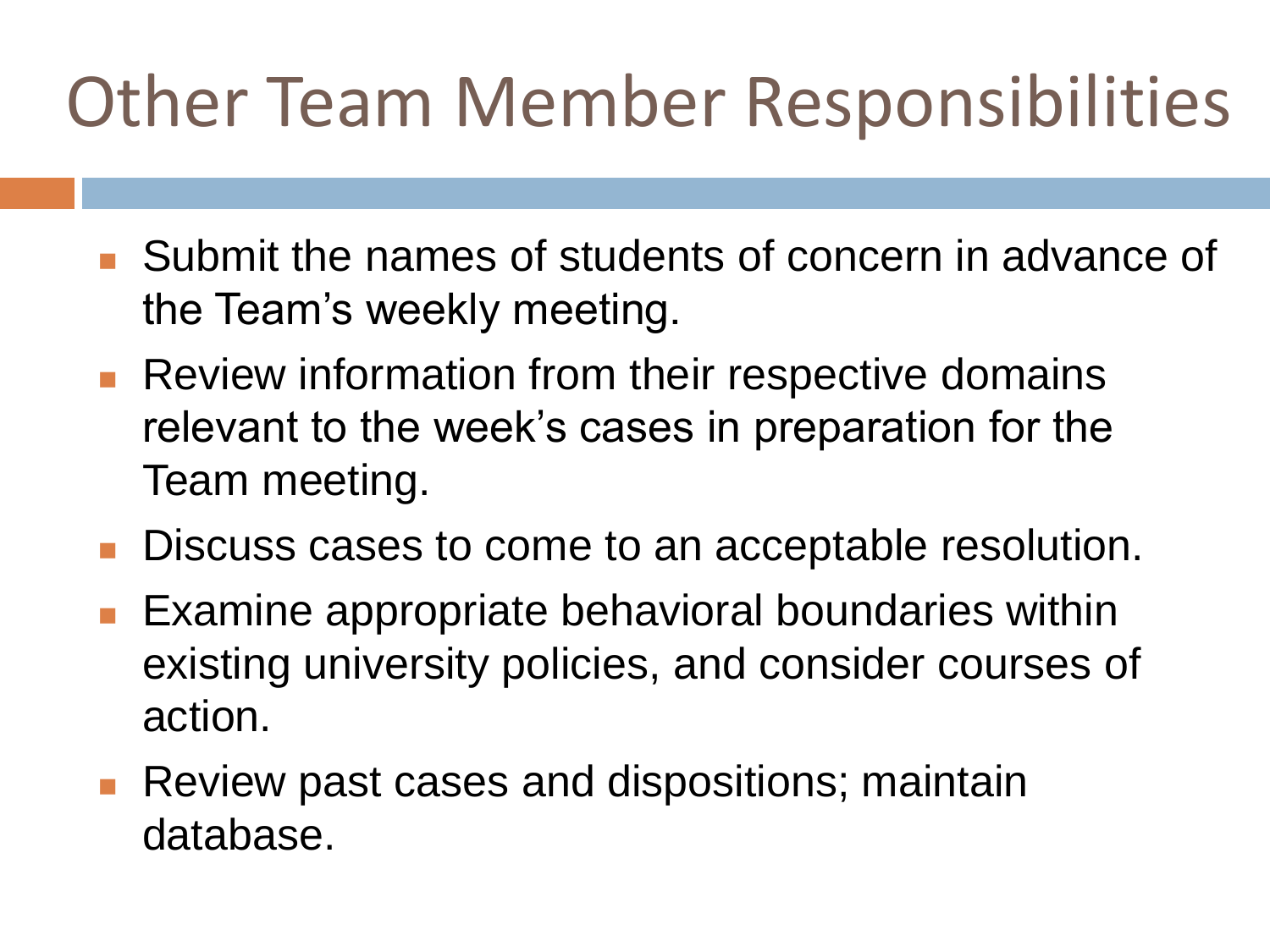#### Other Team Member Responsibilities

- Submit the names of students of concern in advance of the Team's weekly meeting.
- **Review information from their respective domains** relevant to the week's cases in preparation for the Team meeting.
- **Discuss cases to come to an acceptable resolution.**
- Examine appropriate behavioral boundaries within existing university policies, and consider courses of action.
- **Review past cases and dispositions; maintain** database.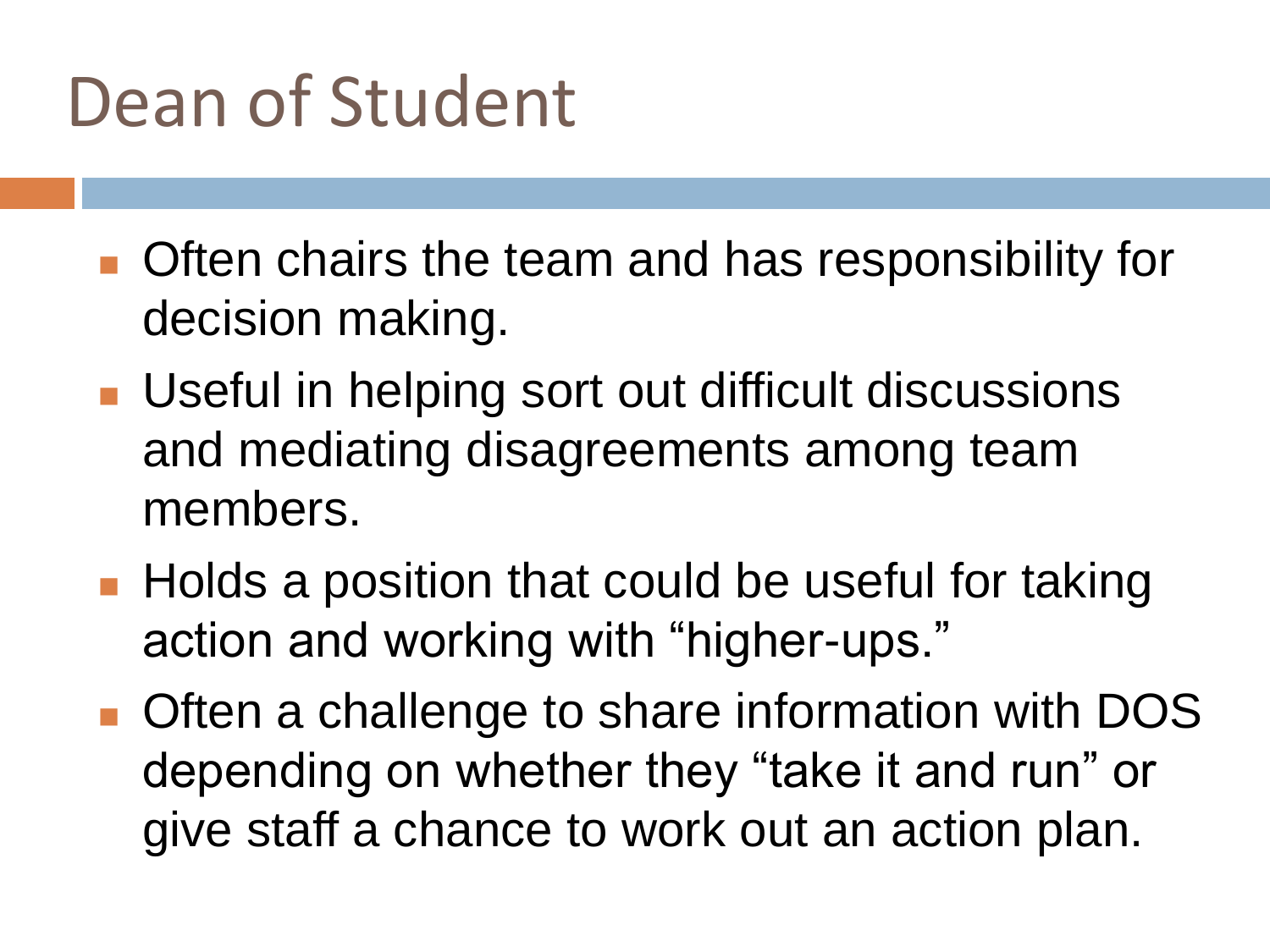#### Dean of Student

- **Often chairs the team and has responsibility for** decision making.
- **Useful in helping sort out difficult discussions** and mediating disagreements among team members.
- Holds a position that could be useful for taking action and working with "higher-ups."
- **Often a challenge to share information with DOS** depending on whether they "take it and run" or give staff a chance to work out an action plan.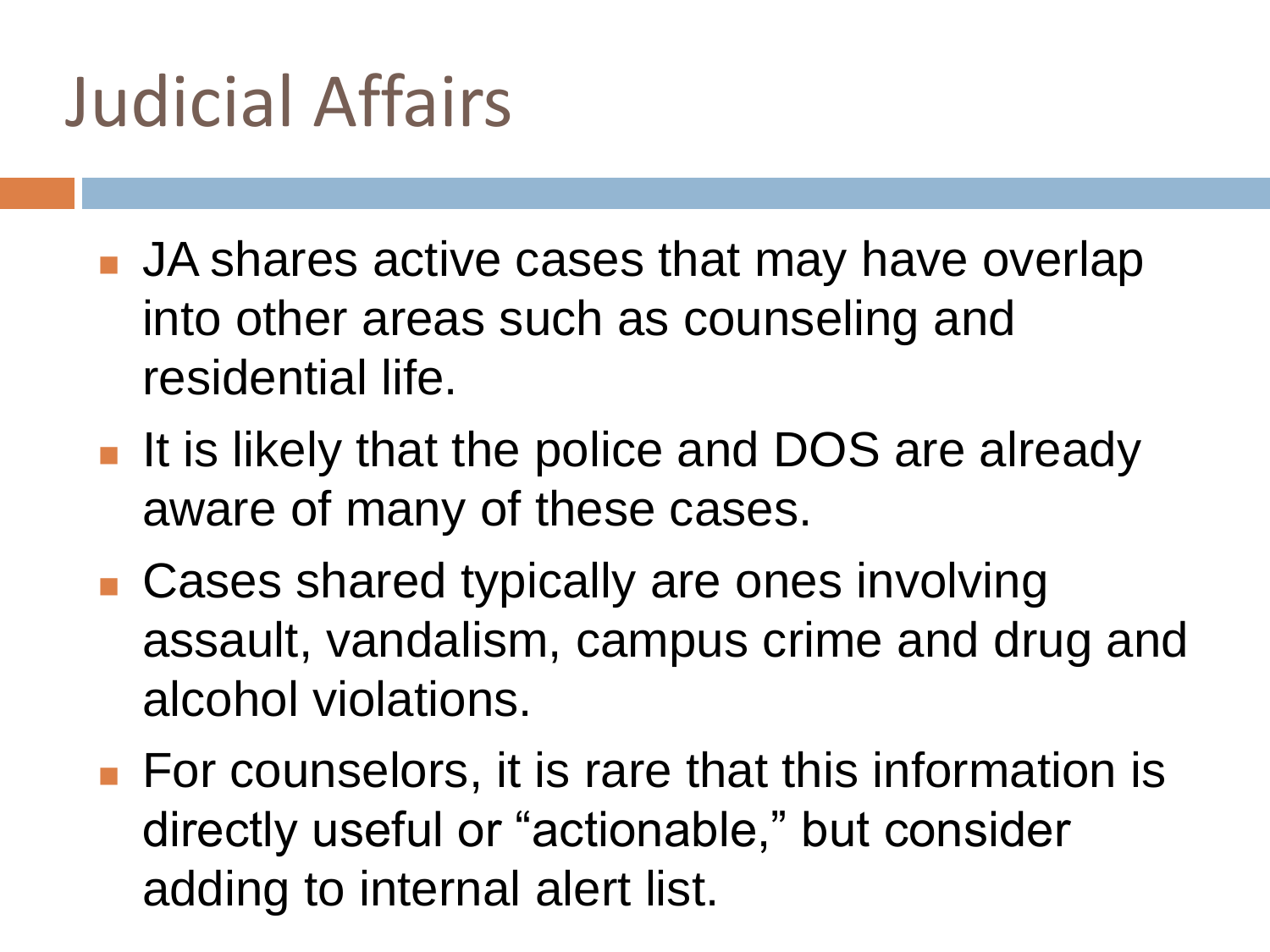#### Judicial Affairs

- JA shares active cases that may have overlap into other areas such as counseling and residential life.
- **If is likely that the police and DOS are already** aware of many of these cases.
- Cases shared typically are ones involving assault, vandalism, campus crime and drug and alcohol violations.
- For counselors, it is rare that this information is directly useful or "actionable," but consider adding to internal alert list.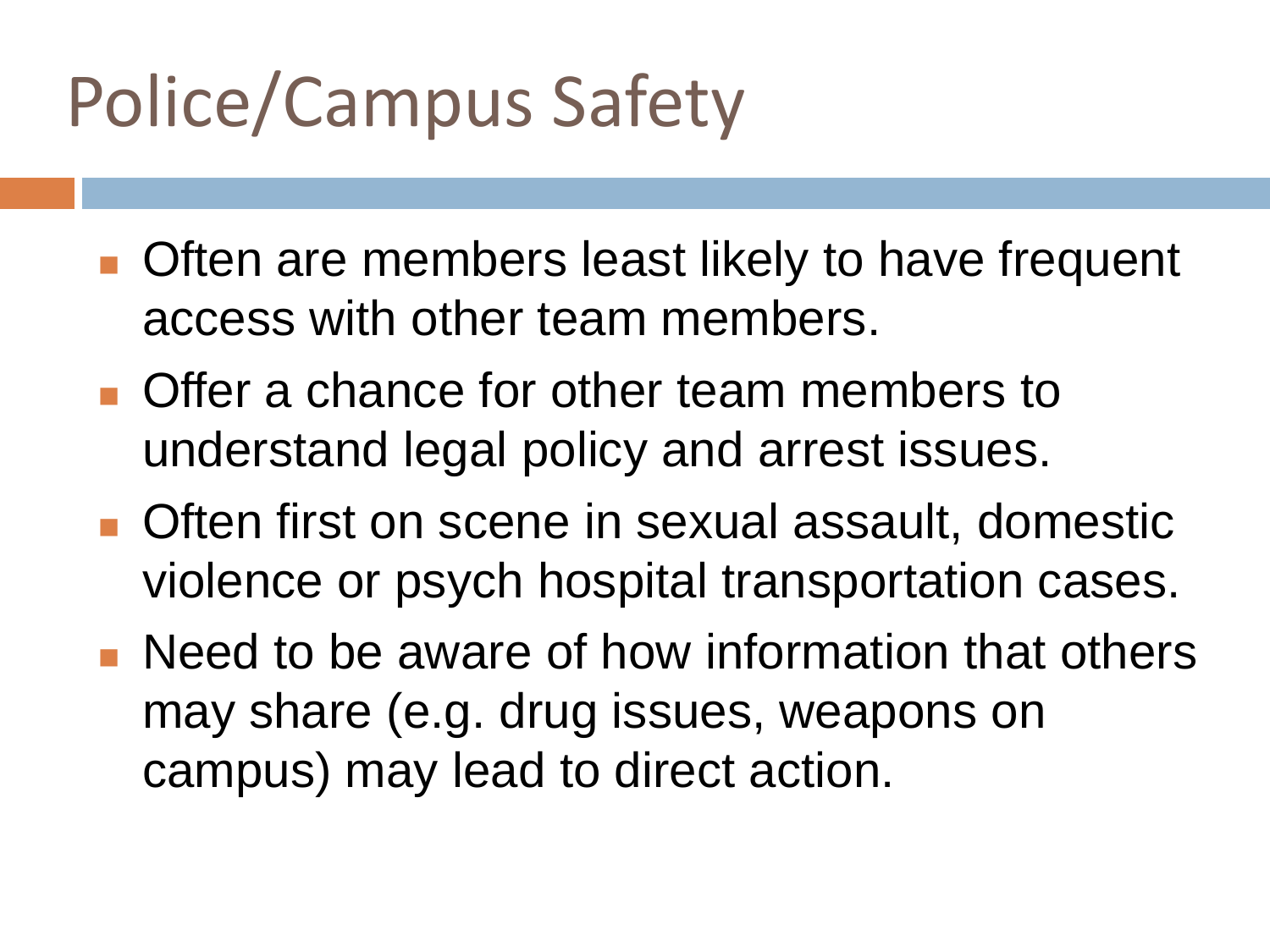### Police/Campus Safety

- **Often are members least likely to have frequent** access with other team members.
- **Offer a chance for other team members to** understand legal policy and arrest issues.
- Often first on scene in sexual assault, domestic violence or psych hospital transportation cases.
- **Need to be aware of how information that others** may share (e.g. drug issues, weapons on campus) may lead to direct action.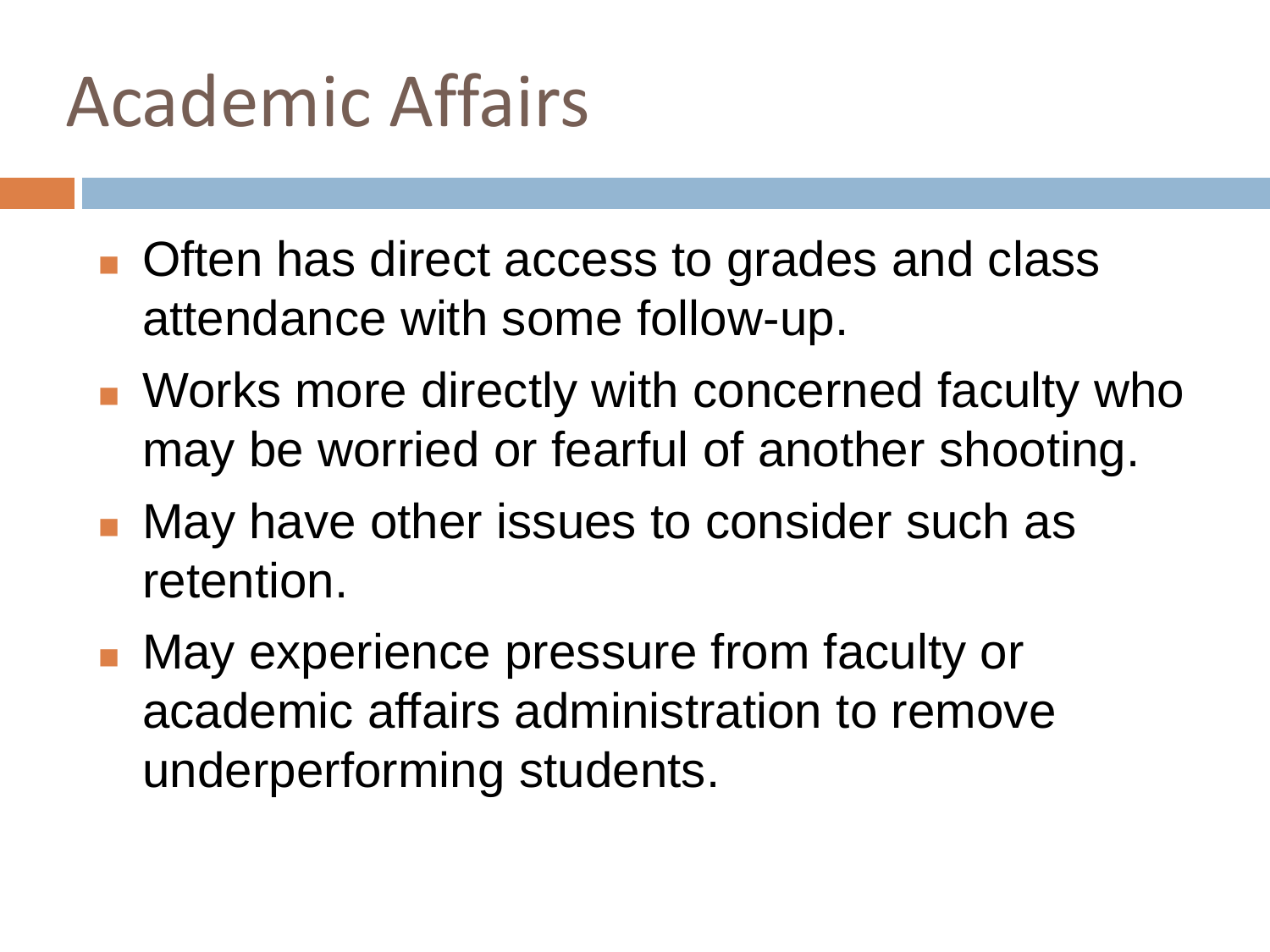#### Academic Affairs

- **Often has direct access to grades and class** attendance with some follow-up.
- **Norks more directly with concerned faculty who** may be worried or fearful of another shooting.
- **Nay have other issues to consider such as** retention.
- **Nay experience pressure from faculty or** academic affairs administration to remove underperforming students.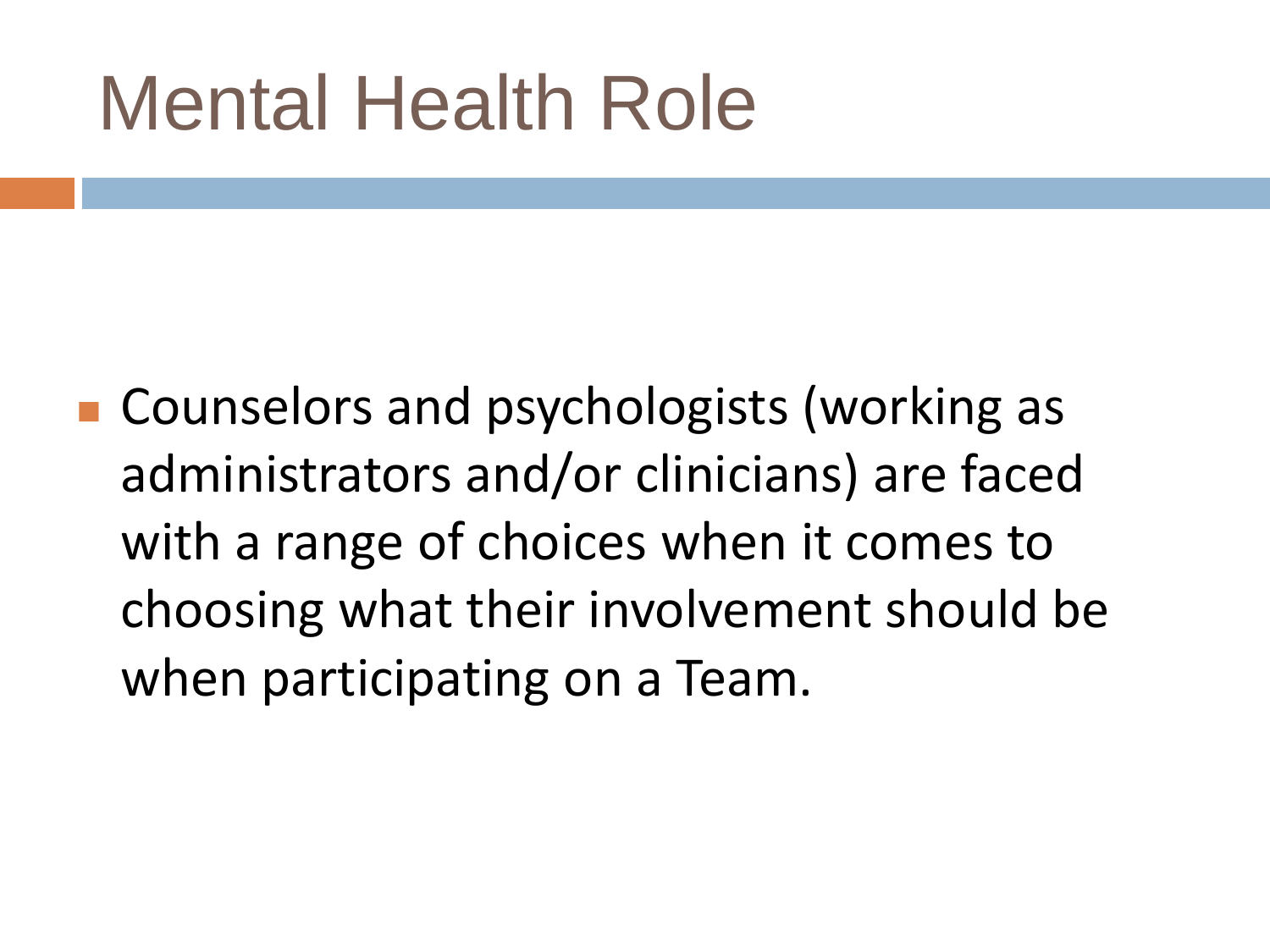### Mental Health Role

■ Counselors and psychologists (working as administrators and/or clinicians) are faced with a range of choices when it comes to choosing what their involvement should be when participating on a Team.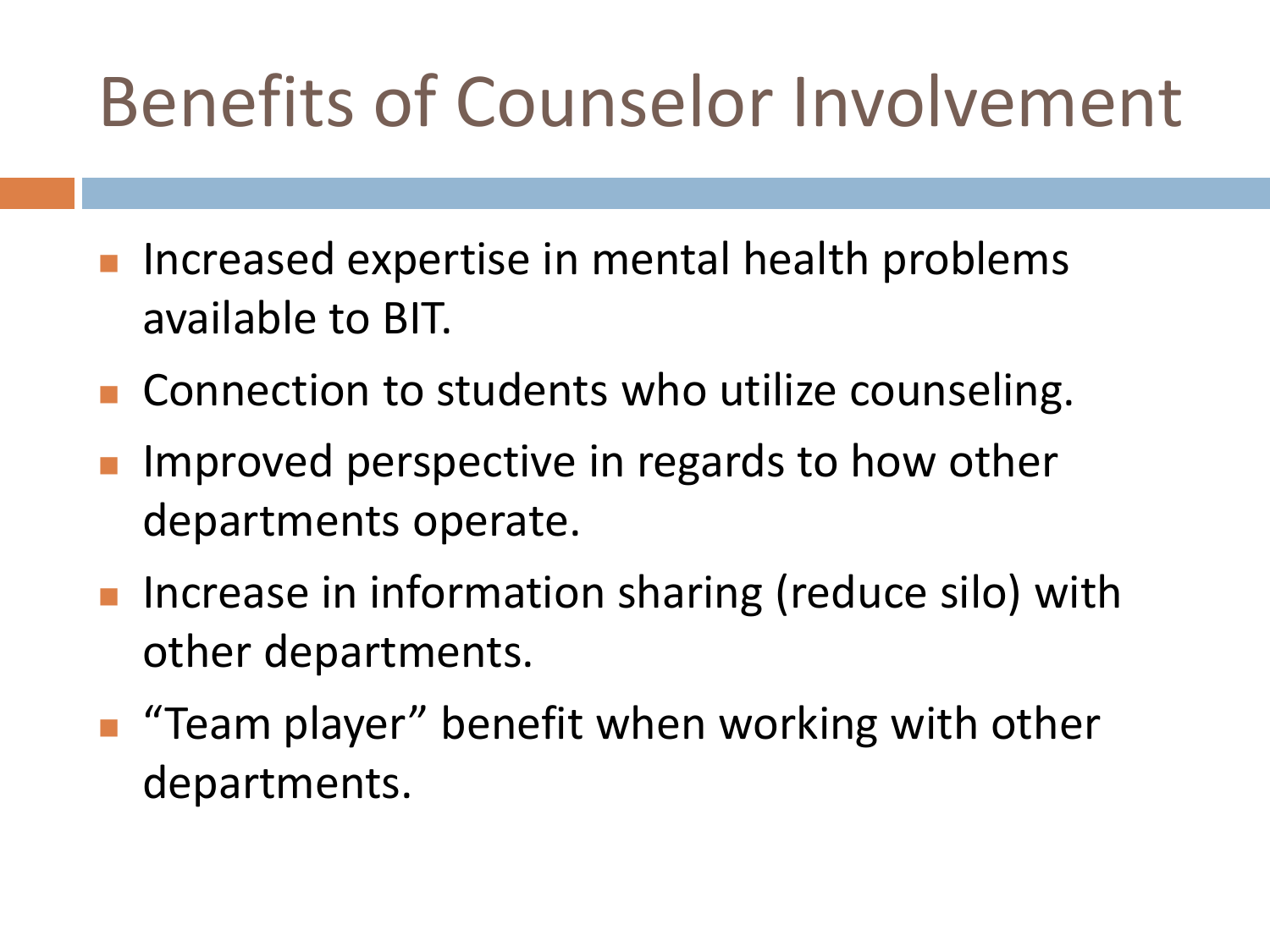#### Benefits of Counselor Involvement

- **If the Increased expertise in mental health problems** available to BIT.
- Connection to students who utilize counseling.
- Improved perspective in regards to how other departments operate.
- Increase in information sharing (reduce silo) with other departments.
- "Team player" benefit when working with other departments.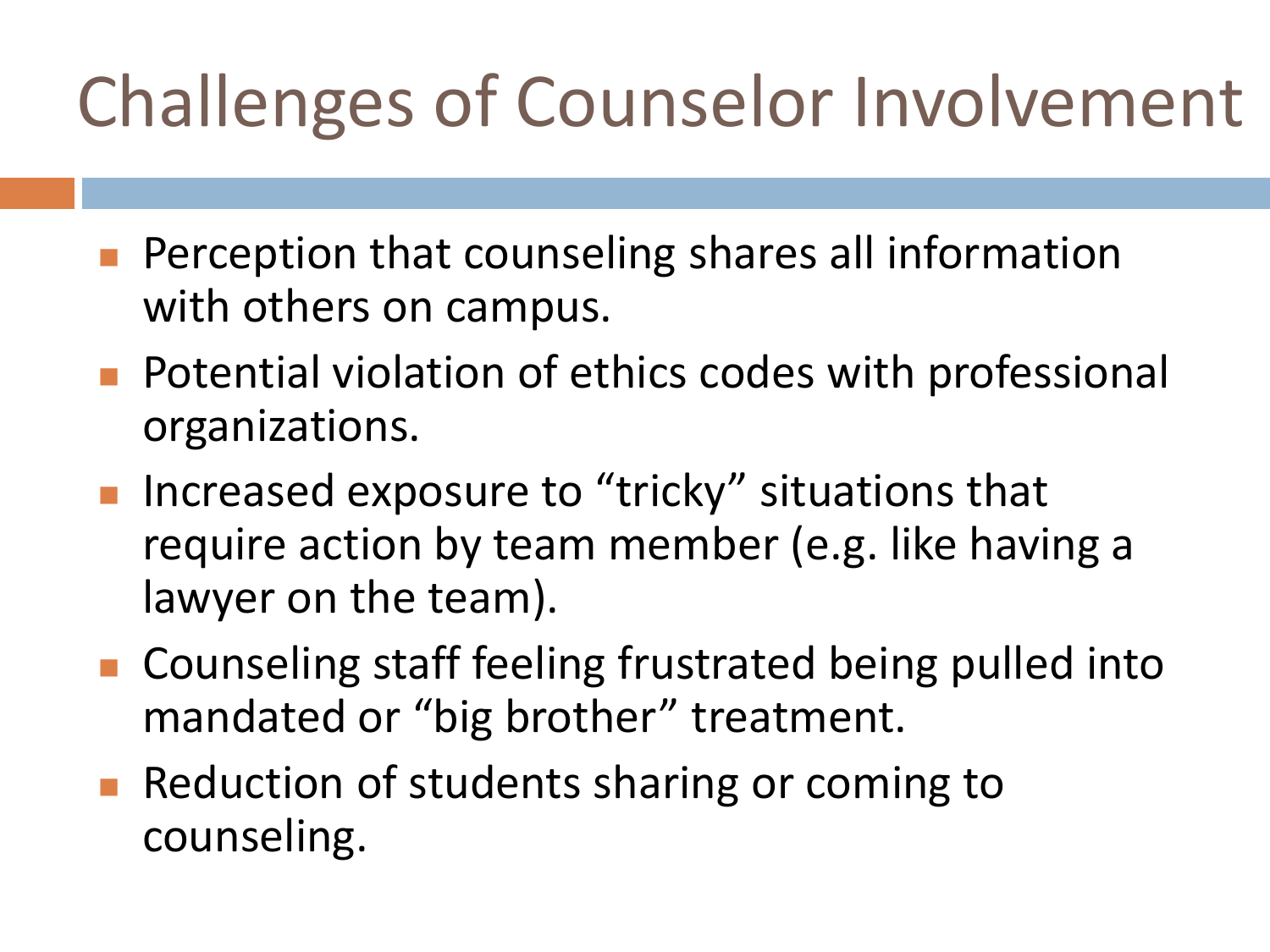### Challenges of Counselor Involvement

- **Perception that counseling shares all information** with others on campus.
- **Potential violation of ethics codes with professional** organizations.
- Increased exposure to "tricky" situations that require action by team member (e.g. like having a lawyer on the team).
- Counseling staff feeling frustrated being pulled into mandated or "big brother" treatment.
- Reduction of students sharing or coming to counseling.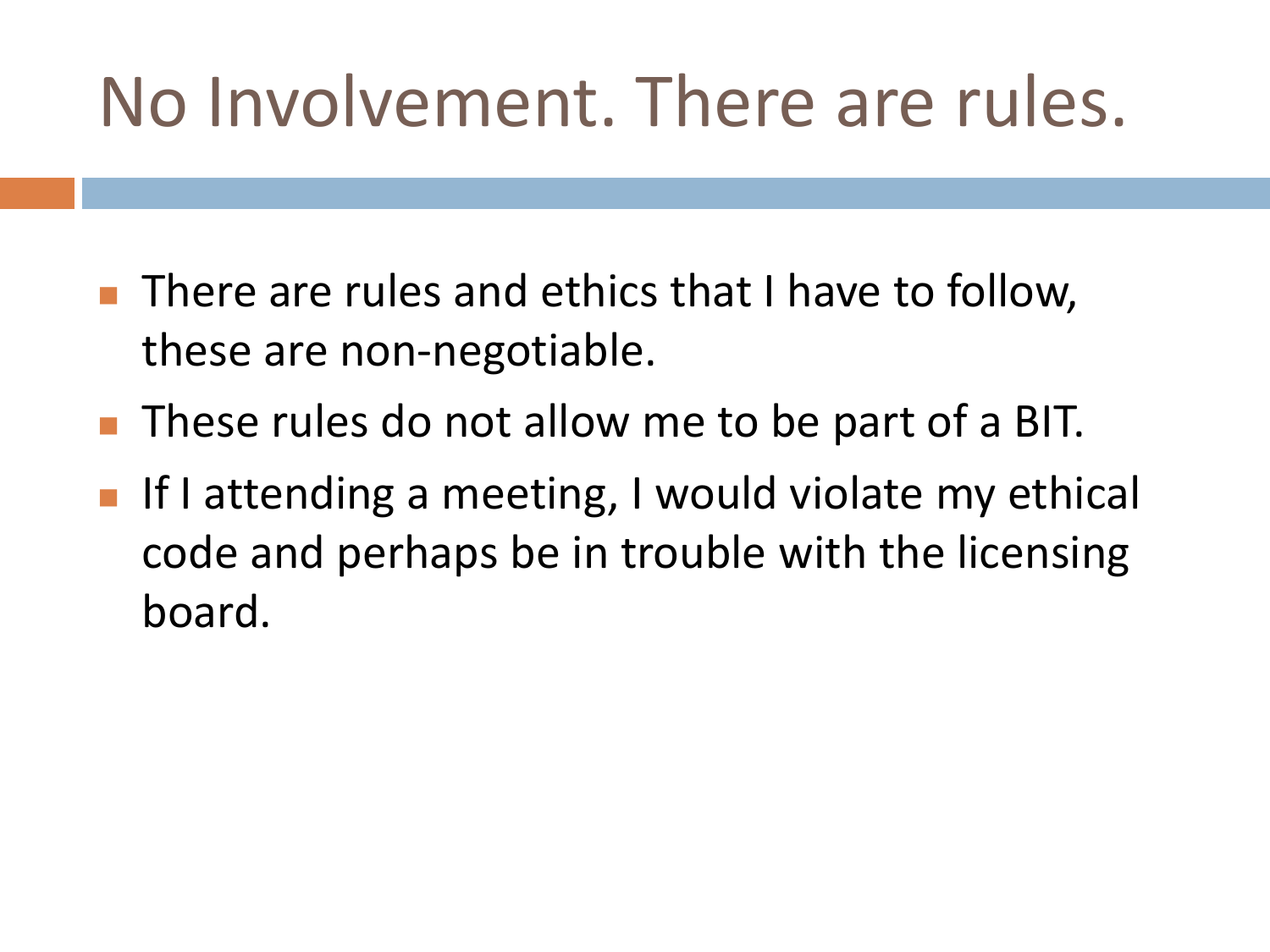#### No Involvement. There are rules.

- There are rules and ethics that I have to follow, these are non-negotiable.
- **These rules do not allow me to be part of a BIT.**
- **If I attending a meeting, I would violate my ethical** code and perhaps be in trouble with the licensing board.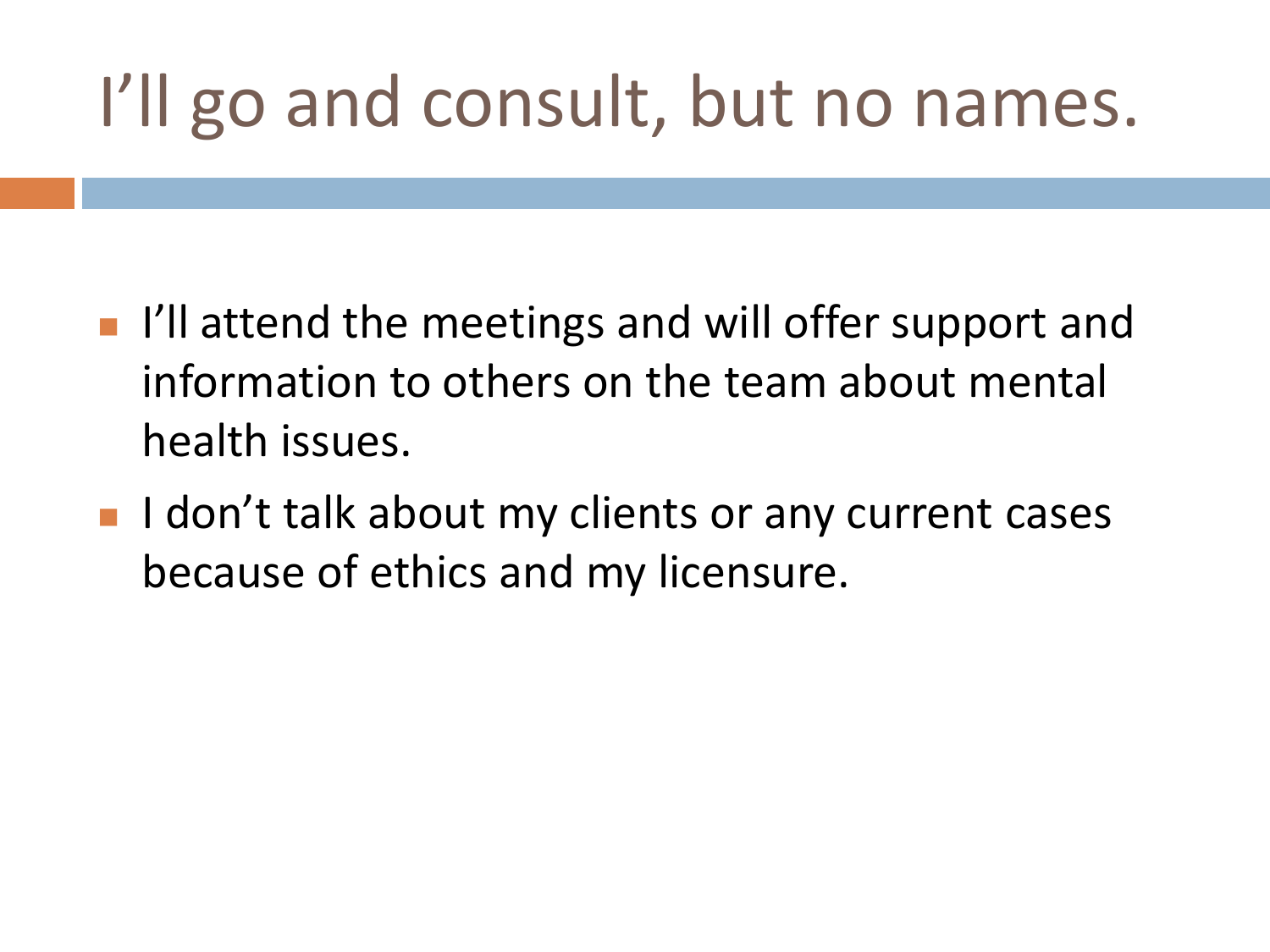#### I'll go and consult, but no names.

- If I'll attend the meetings and will offer support and information to others on the team about mental health issues.
- I don't talk about my clients or any current cases because of ethics and my licensure.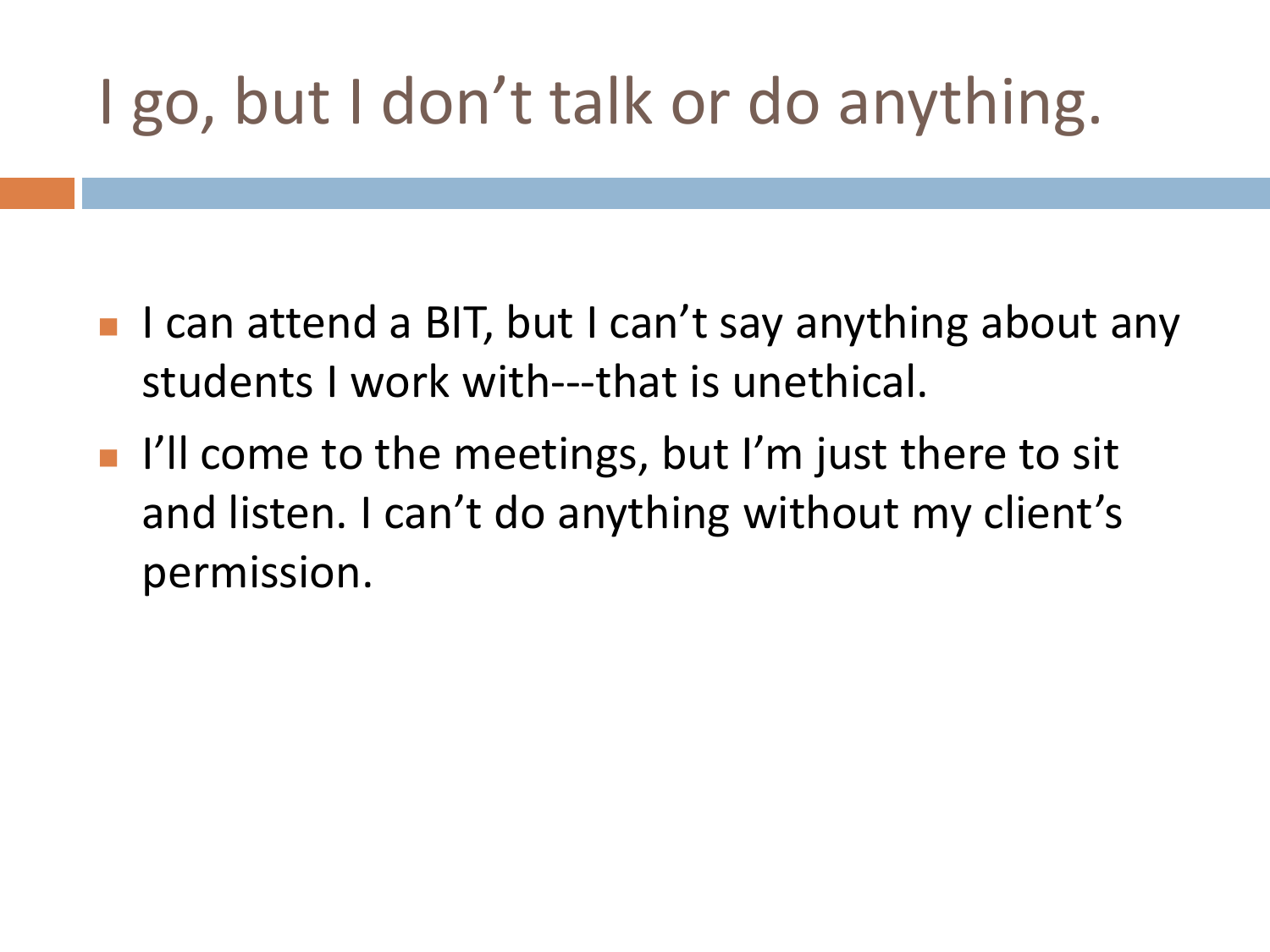#### I go, but I don't talk or do anything.

- I can attend a BIT, but I can't say anything about any students I work with---that is unethical.
- $\blacksquare$  I'll come to the meetings, but I'm just there to sit and listen. I can't do anything without my client's permission.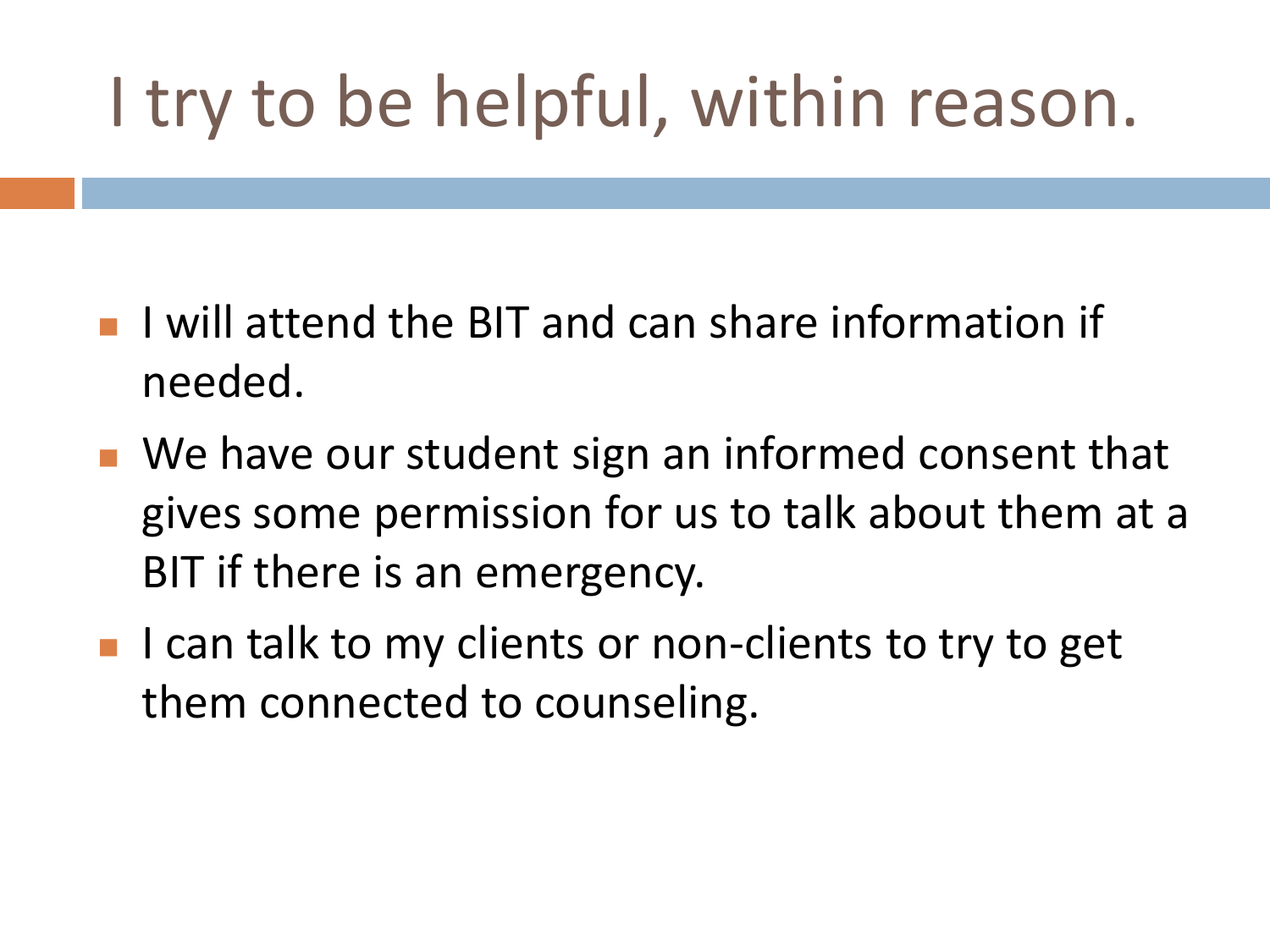### I try to be helpful, within reason.

- **I** I will attend the BIT and can share information if needed.
- We have our student sign an informed consent that gives some permission for us to talk about them at a BIT if there is an emergency.
- I can talk to my clients or non-clients to try to get them connected to counseling.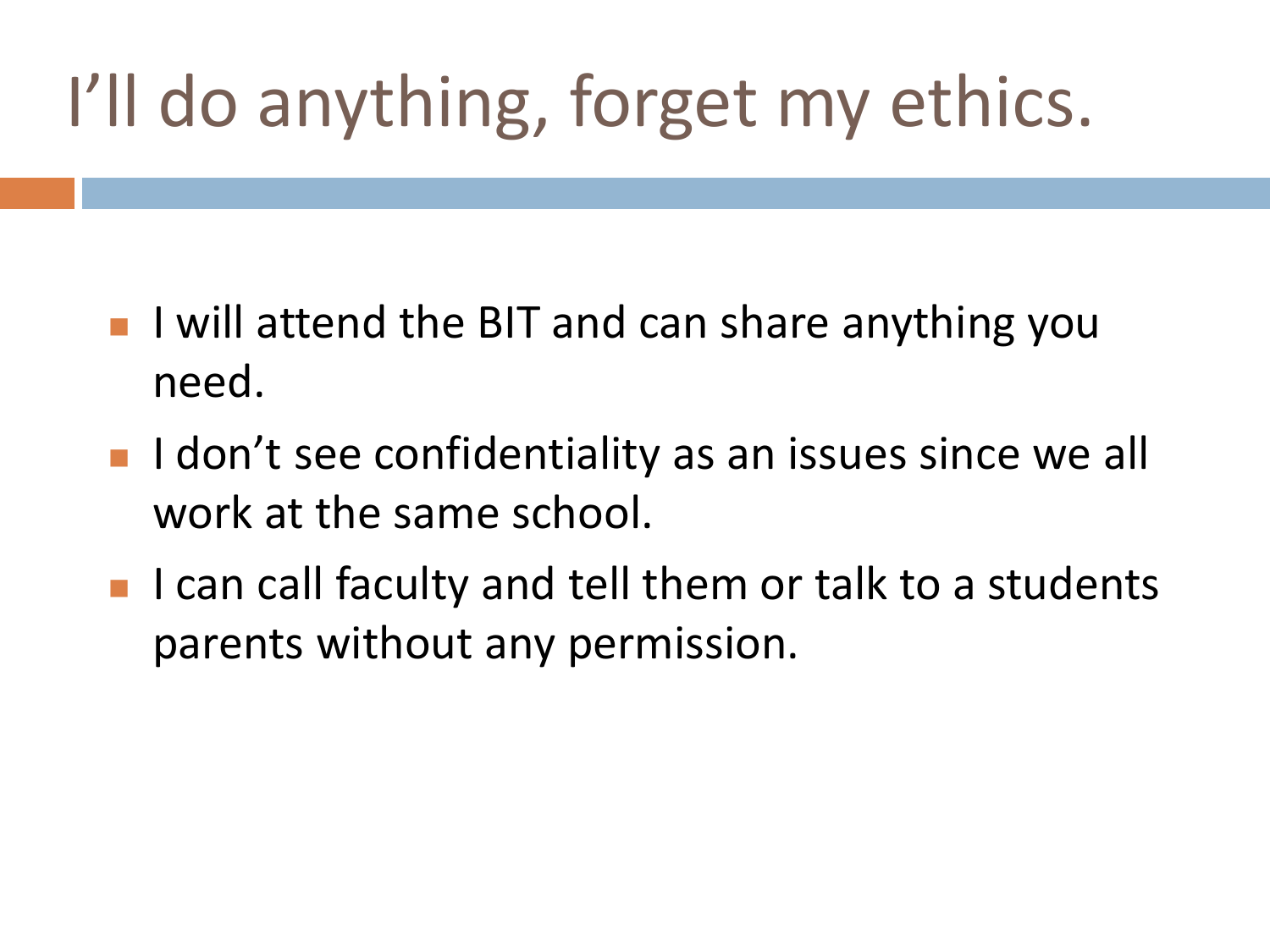## I'll do anything, forget my ethics.

- $\blacksquare$  I will attend the BIT and can share anything you need.
- I don't see confidentiality as an issues since we all work at the same school.
- $\blacksquare$  I can call faculty and tell them or talk to a students parents without any permission.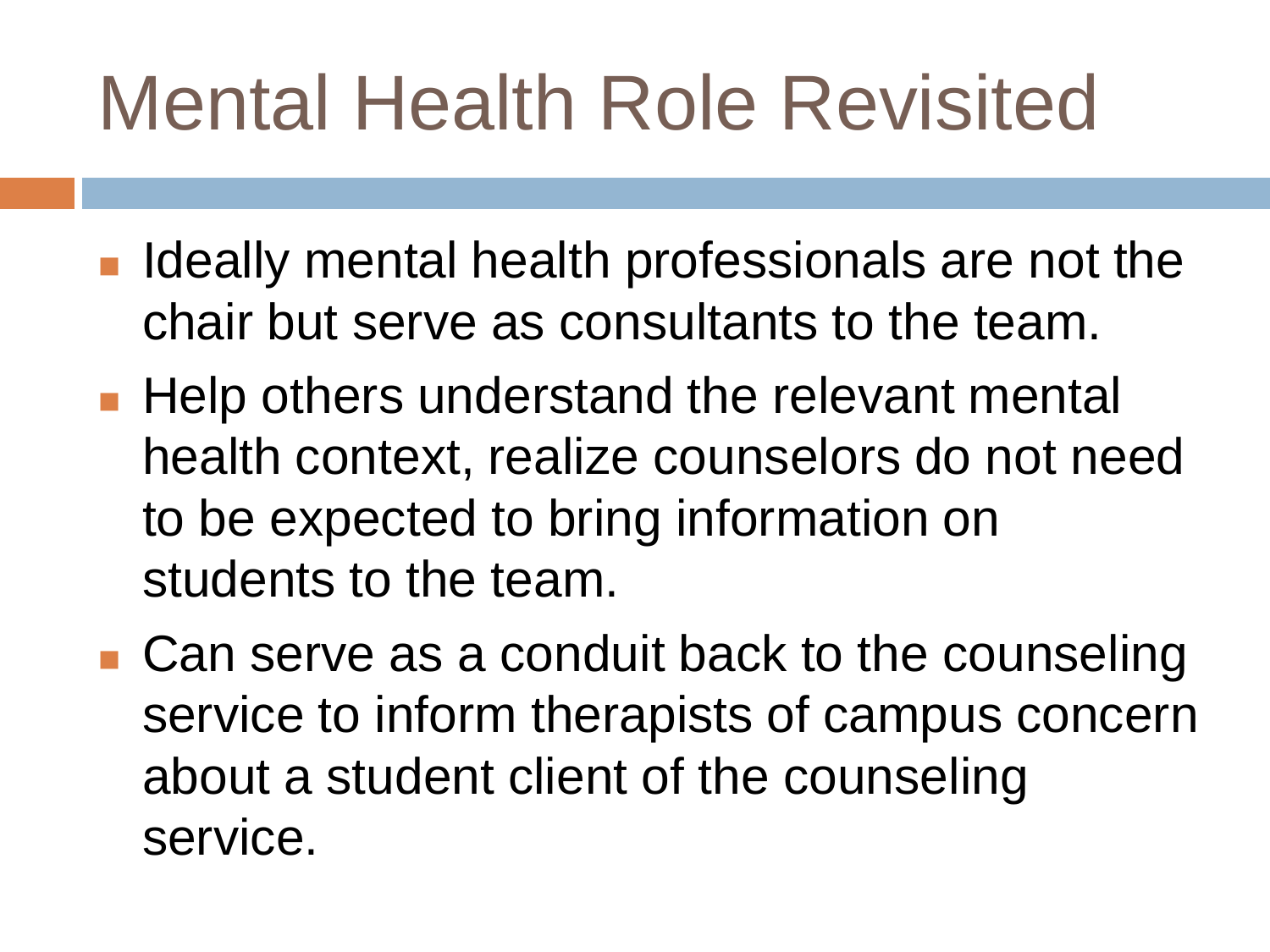# Mental Health Role Revisited

- $\blacksquare$  Ideally mental health professionals are not the chair but serve as consultants to the team.
- **Help others understand the relevant mental** health context, realize counselors do not need to be expected to bring information on students to the team.
- Can serve as a conduit back to the counseling service to inform therapists of campus concern about a student client of the counseling service.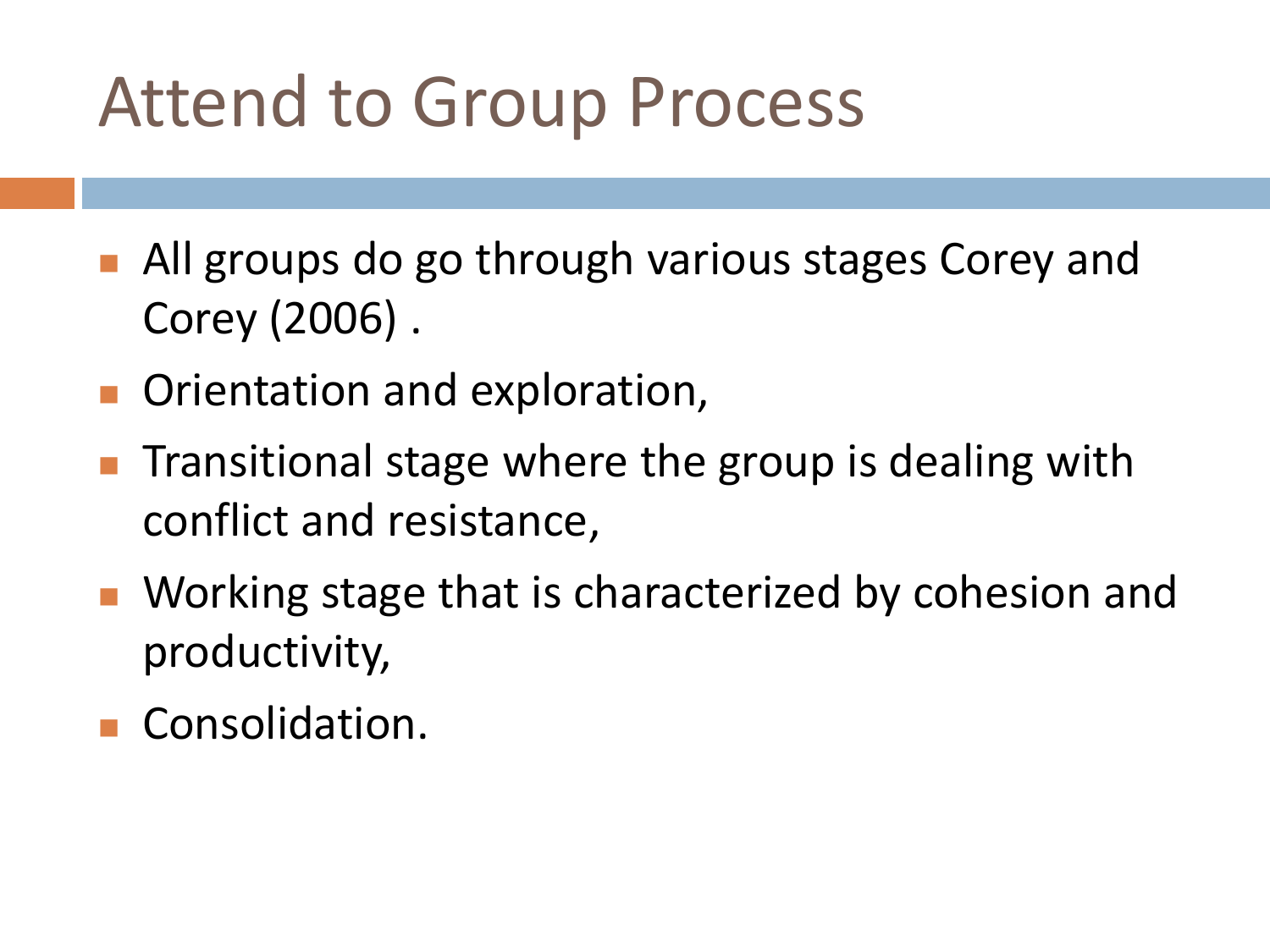#### Attend to Group Process

- All groups do go through various stages Corey and Corey (2006) .
- **Orientation and exploration,**
- Transitional stage where the group is dealing with conflict and resistance,
- Working stage that is characterized by cohesion and productivity,
- **Consolidation.**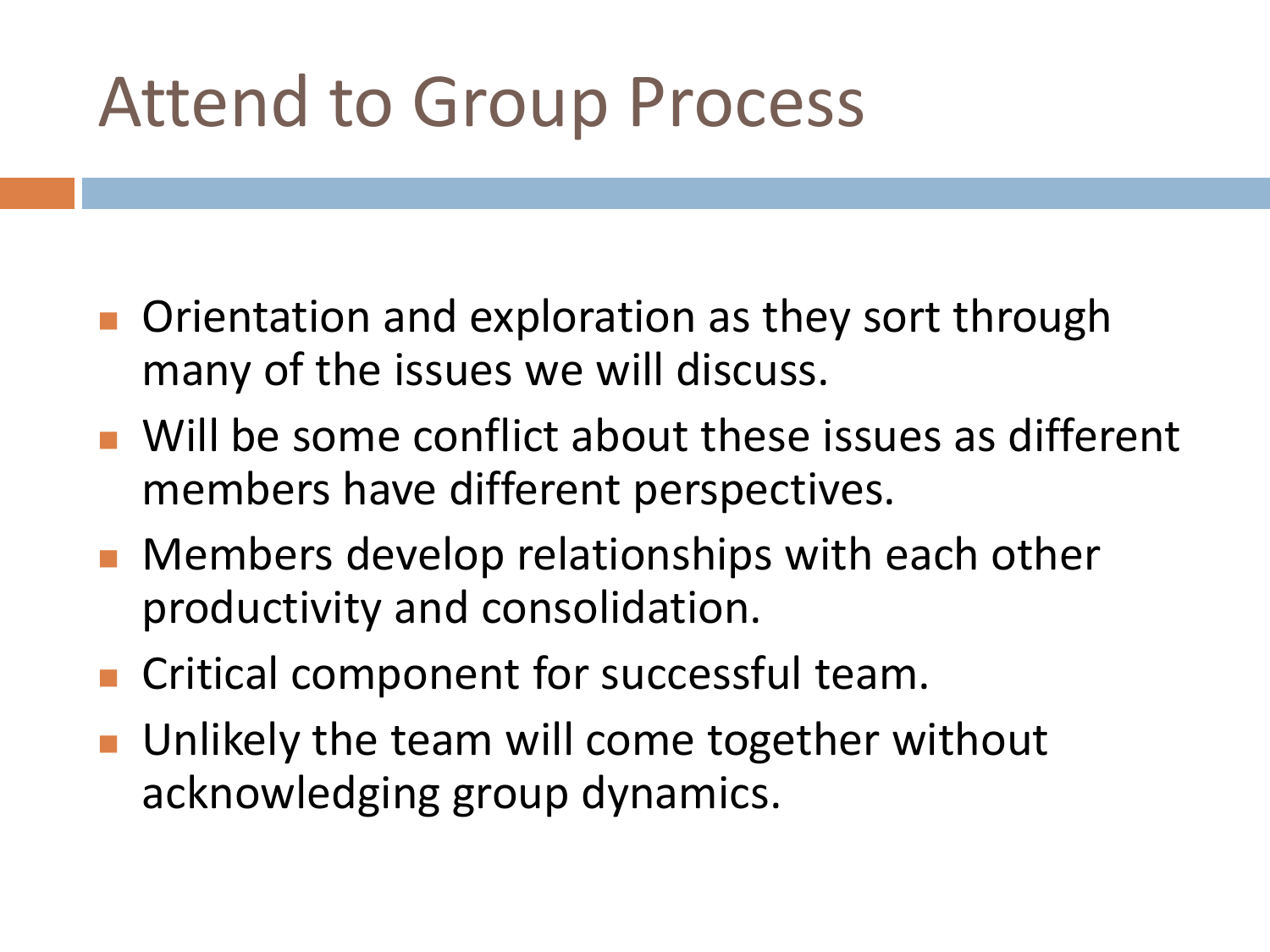#### Attend to Group Process

- **Orientation and exploration as they sort through** many of the issues we will discuss.
- Will be some conflict about these issues as different members have different perspectives.
- **Members develop relationships with each other** productivity and consolidation.
- **Critical component for successful team.**
- Unlikely the team will come together without acknowledging group dynamics.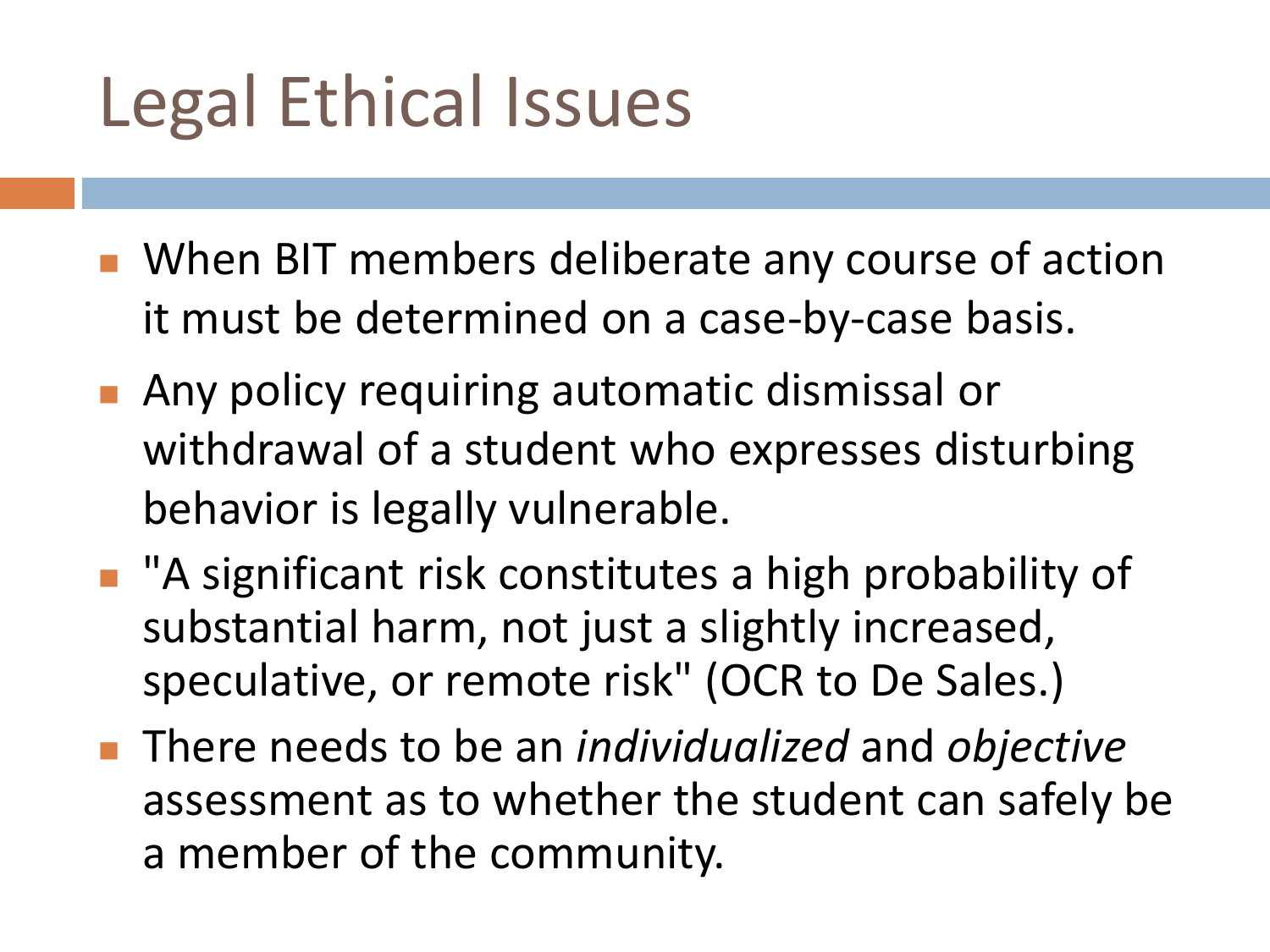### Legal Ethical Issues

- When BIT members deliberate any course of action it must be determined on a case-by-case basis.
- **Any policy requiring automatic dismissal or** withdrawal of a student who expresses disturbing behavior is legally vulnerable.
- "A significant risk constitutes a high probability of substantial harm, not just a slightly increased, speculative, or remote risk" (OCR to De Sales.)
- There needs to be an *individualized* and *objective* assessment as to whether the student can safely be a member of the community.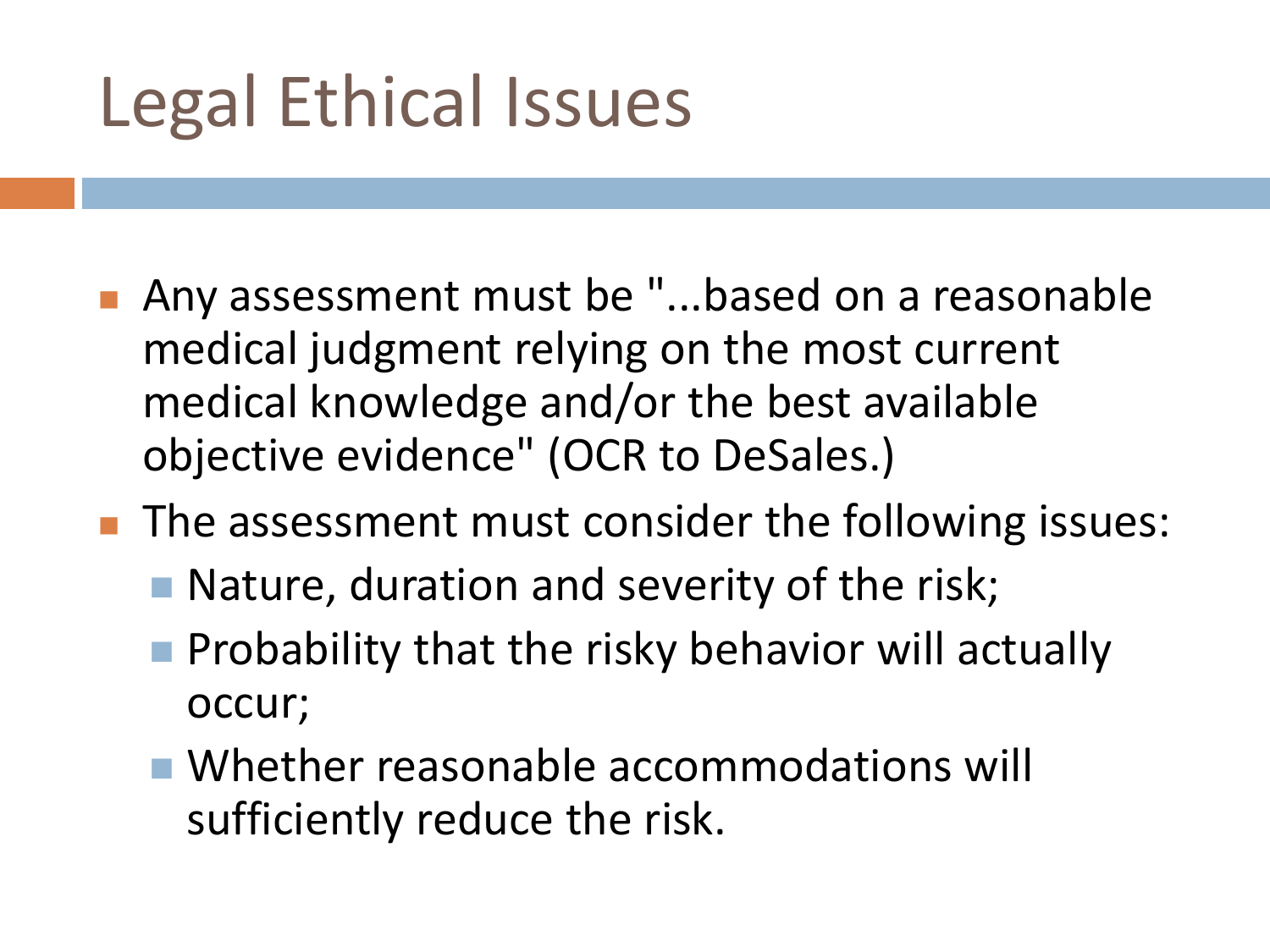### Legal Ethical Issues

- Any assessment must be "...based on a reasonable medical judgment relying on the most current medical knowledge and/or the best available objective evidence" (OCR to DeSales.)
- **The assessment must consider the following issues:** 
	- $\blacksquare$  Nature, duration and severity of the risk;
	- $\blacksquare$  Probability that the risky behavior will actually occur;
	- Whether reasonable accommodations will sufficiently reduce the risk.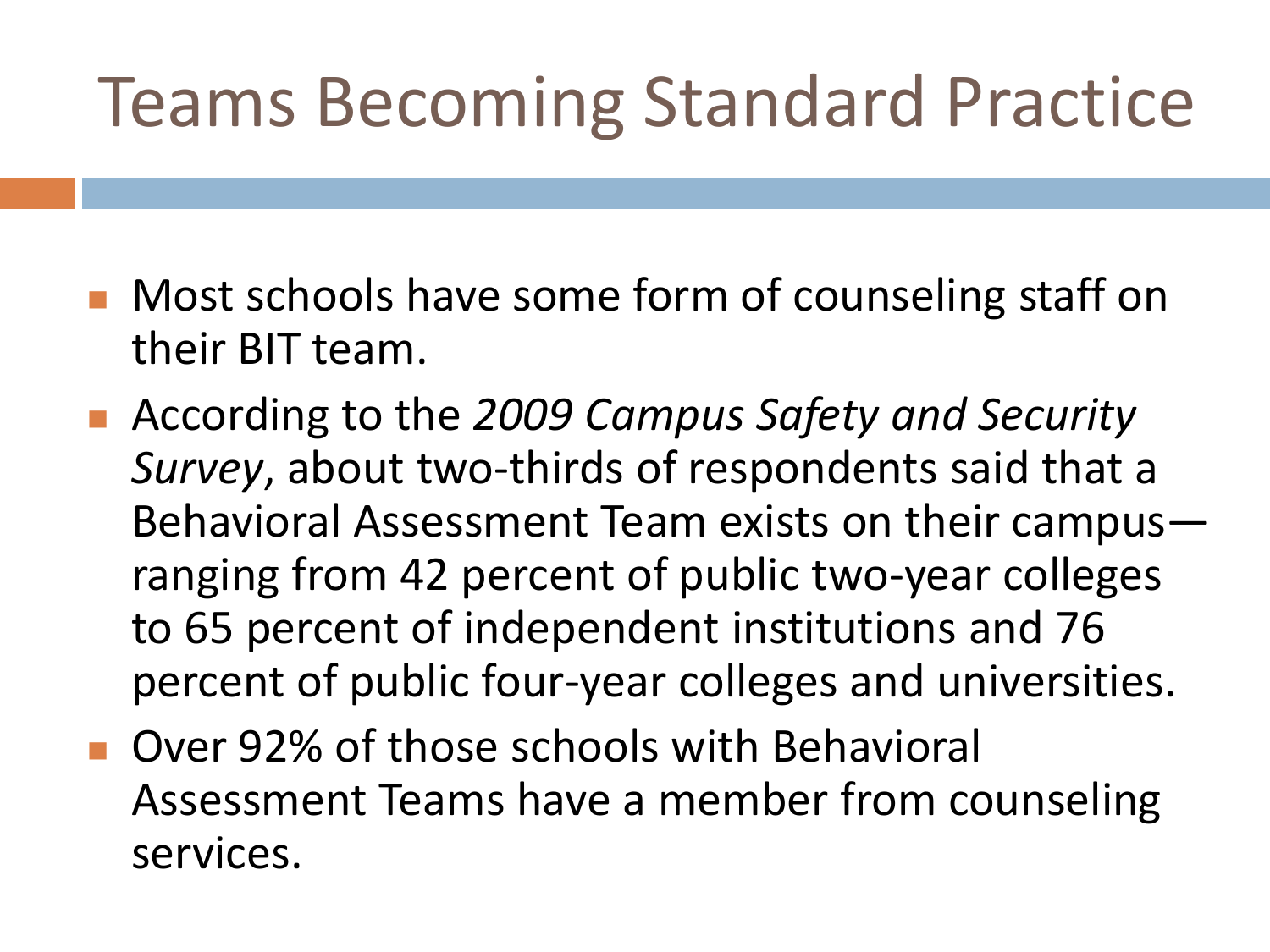### Teams Becoming Standard Practice

- **Nost schools have some form of counseling staff on** their BIT team.
- According to the 2009 Campus Safety and Security *Survey*, about two-thirds of respondents said that a Behavioral Assessment Team exists on their campus ranging from 42 percent of public two-year colleges to 65 percent of independent institutions and 76 percent of public four-year colleges and universities.
- **Deam Divide Schools with Behavioral Divides Schools with Behavioral** Assessment Teams have a member from counseling services.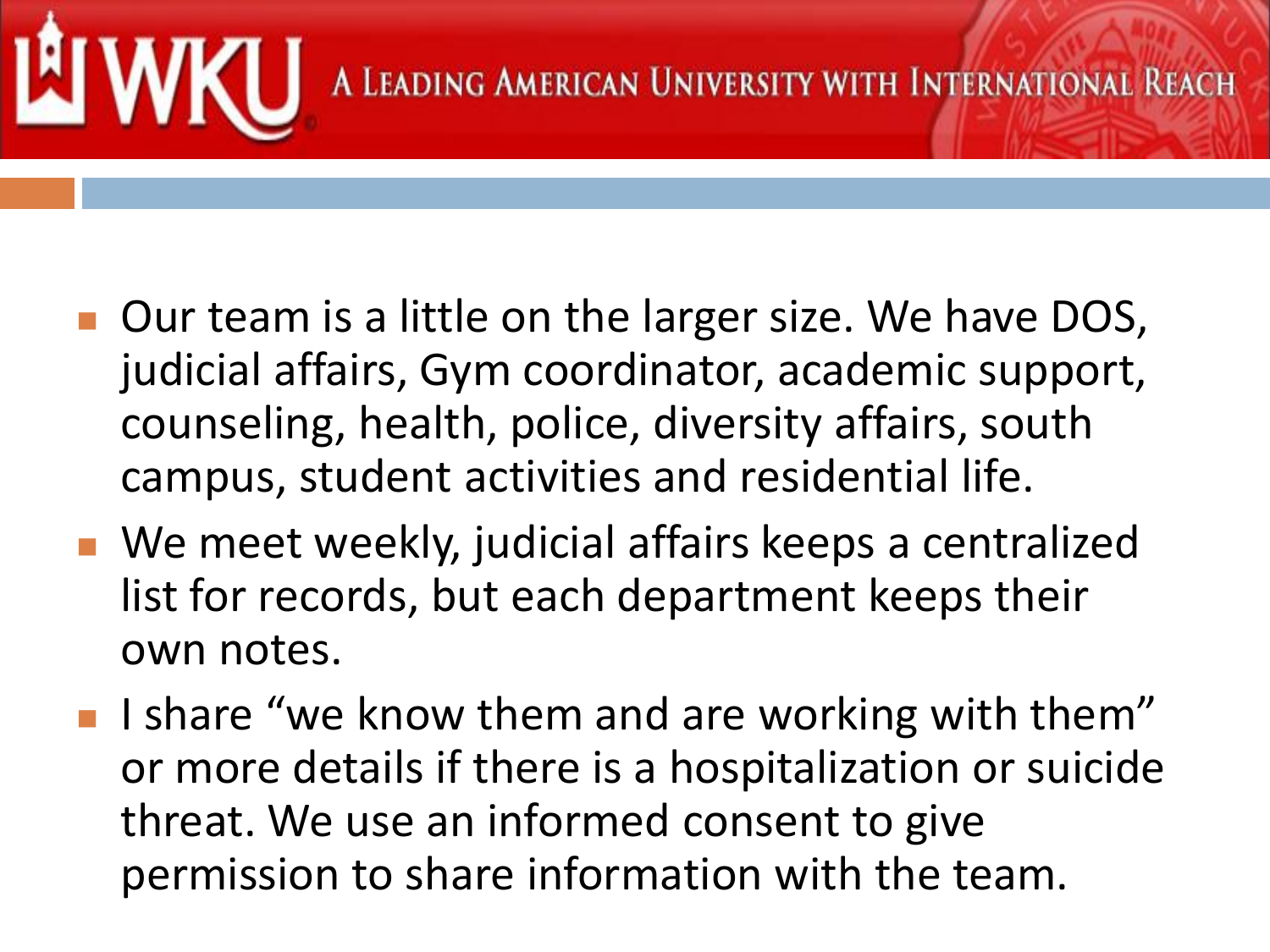

- Our team is a little on the larger size. We have DOS, judicial affairs, Gym coordinator, academic support, counseling, health, police, diversity affairs, south campus, student activities and residential life.
- We meet weekly, judicial affairs keeps a centralized list for records, but each department keeps their own notes.
- I I share "we know them and are working with them" or more details if there is a hospitalization or suicide threat. We use an informed consent to give permission to share information with the team.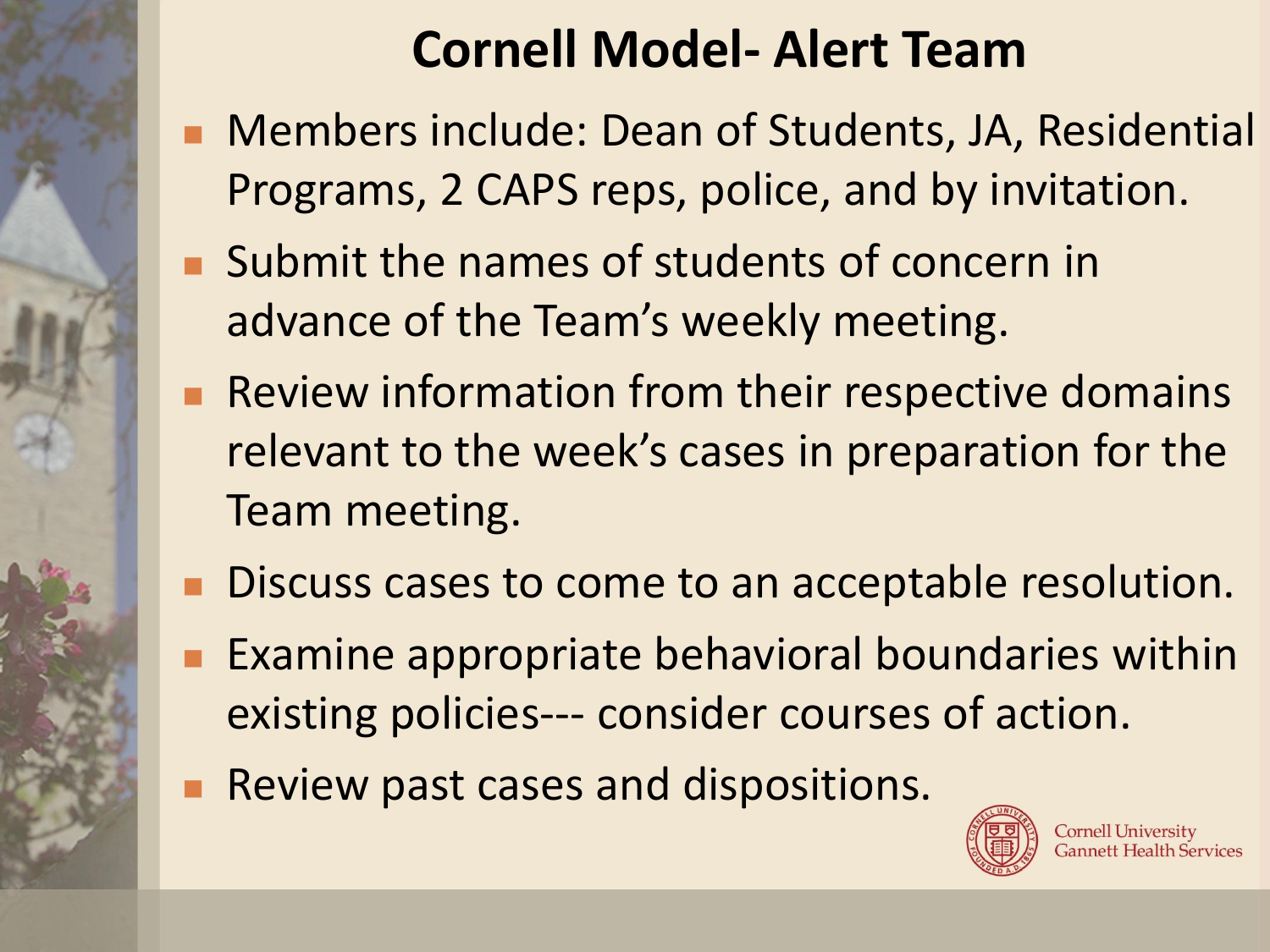#### **Cornell Model- Alert Team**

- Members include: Dean of Students, JA, Residential Programs, 2 CAPS reps, police, and by invitation.
- **Submit the names of students of concern in** advance of the Team's weekly meeting.
- Review information from their respective domains relevant to the week's cases in preparation for the Team meeting.
- Discuss cases to come to an acceptable resolution.
- Examine appropriate behavioral boundaries within existing policies--- consider courses of action.
- Review past cases and dispositions.



**Cornell University Gannett Health Services**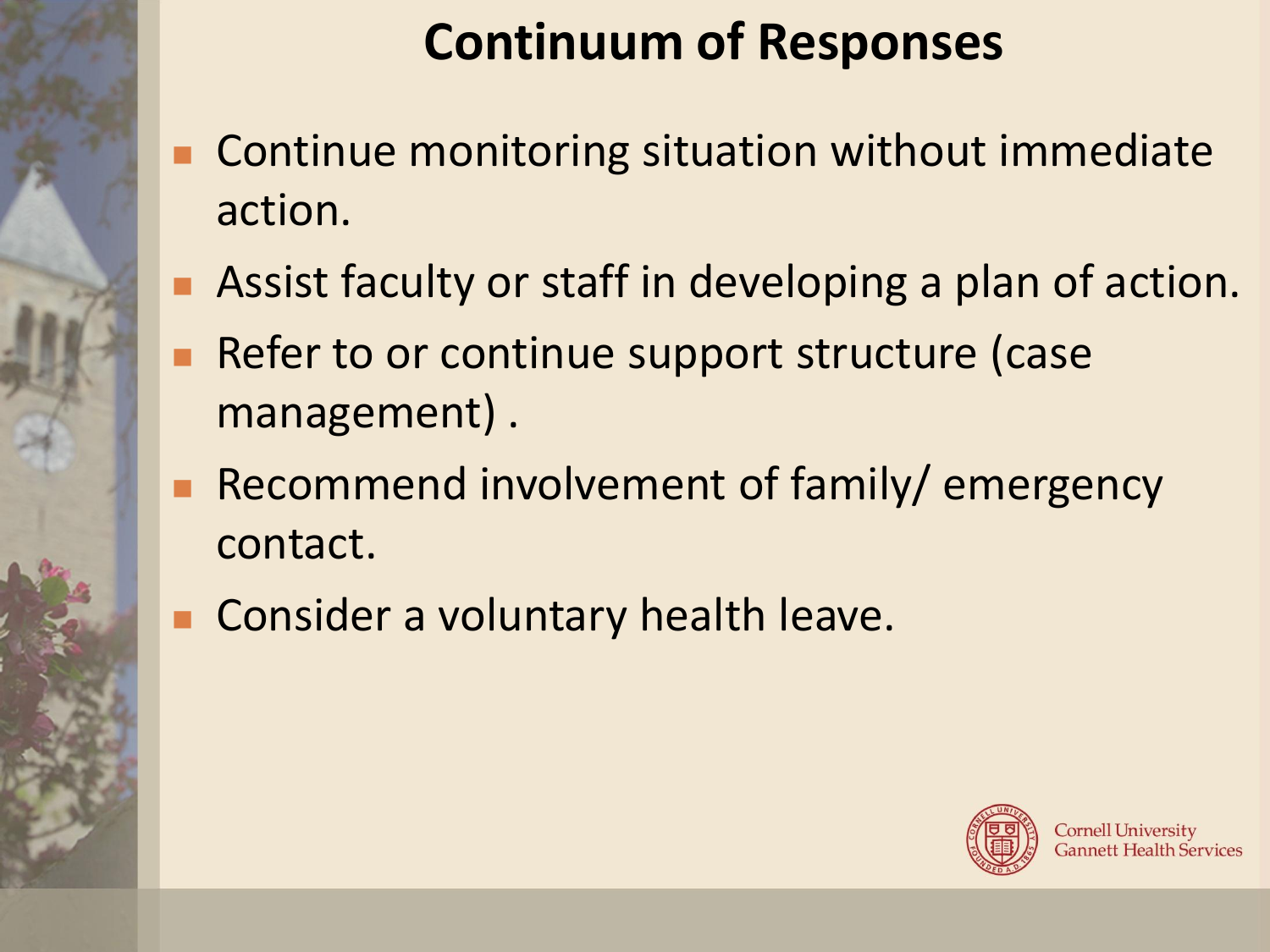#### **Continuum of Responses**

- Continue monitoring situation without immediate action.
- **Assist faculty or staff in developing a plan of action.**
- Refer to or continue support structure (case management) .
- Recommend involvement of family/ emergency contact.
- **Consider a voluntary health leave.**

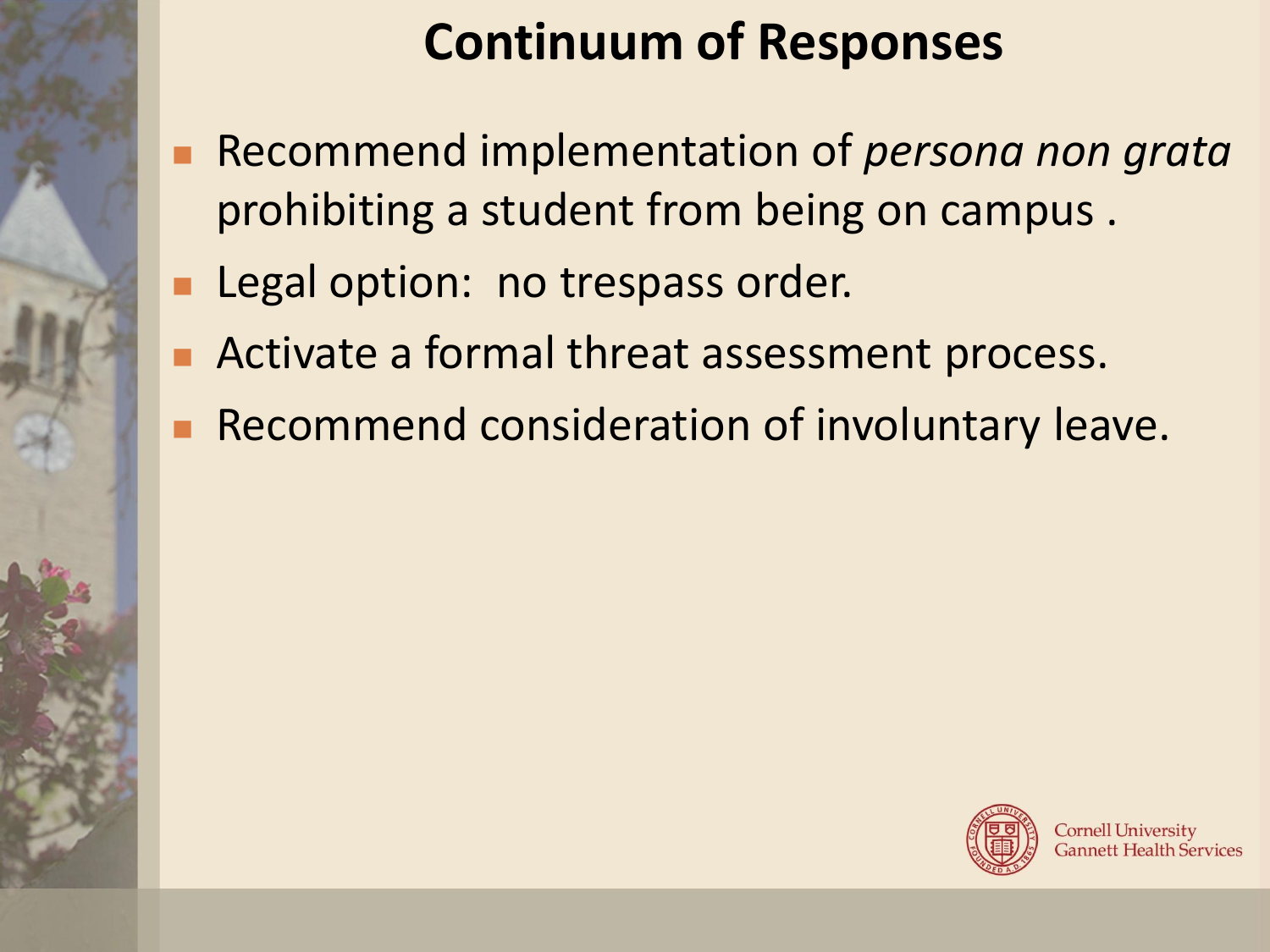#### **Continuum of Responses**

- Recommend implementation of *persona non grata* prohibiting a student from being on campus .
- **Legal option: no trespass order.**
- Activate a formal threat assessment process.
- Recommend consideration of involuntary leave.

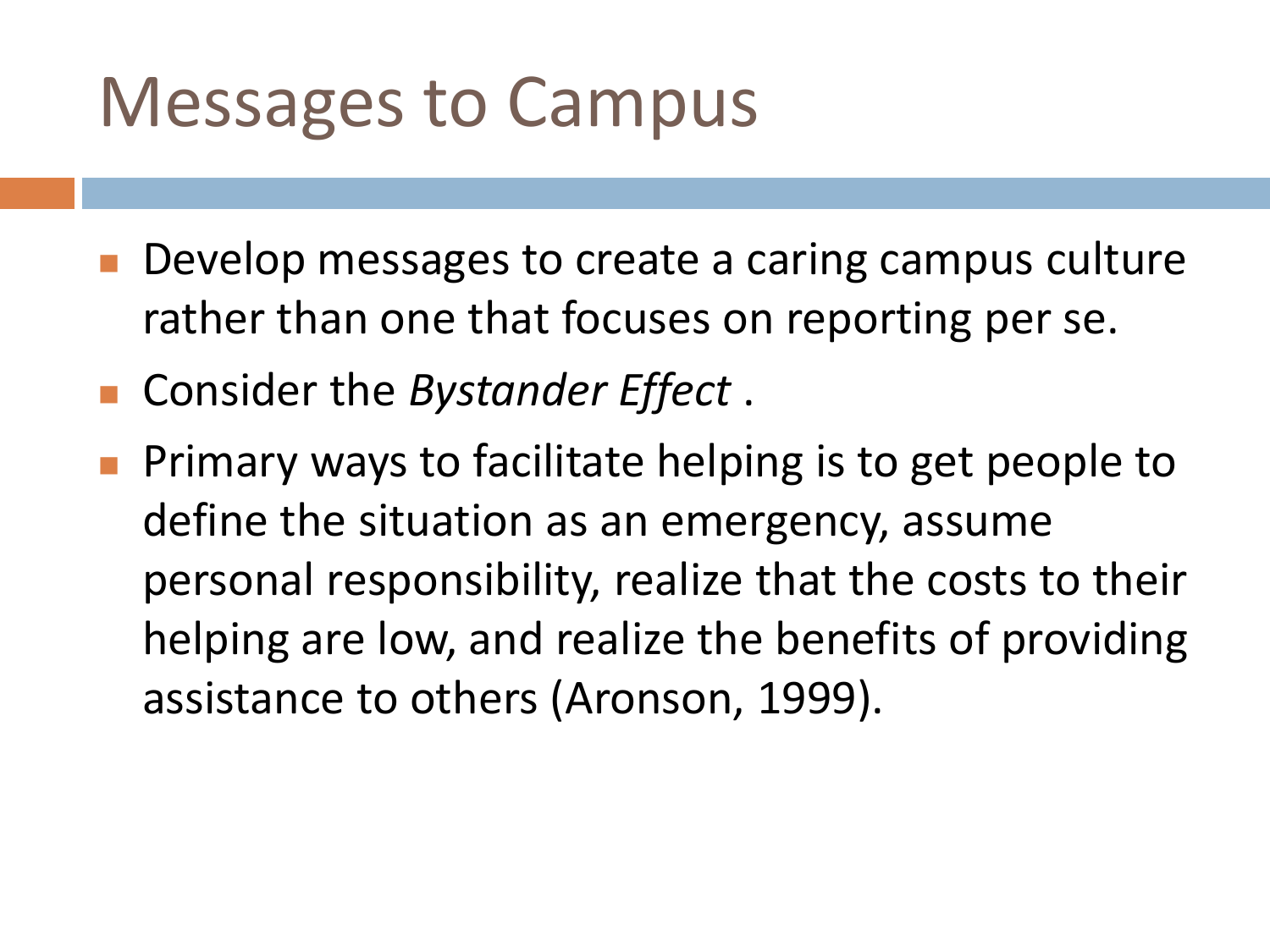#### Messages to Campus

- Develop messages to create a caring campus culture rather than one that focuses on reporting per se.
- Consider the *Bystander Effect* .
- Primary ways to facilitate helping is to get people to define the situation as an emergency, assume personal responsibility, realize that the costs to their helping are low, and realize the benefits of providing assistance to others (Aronson, 1999).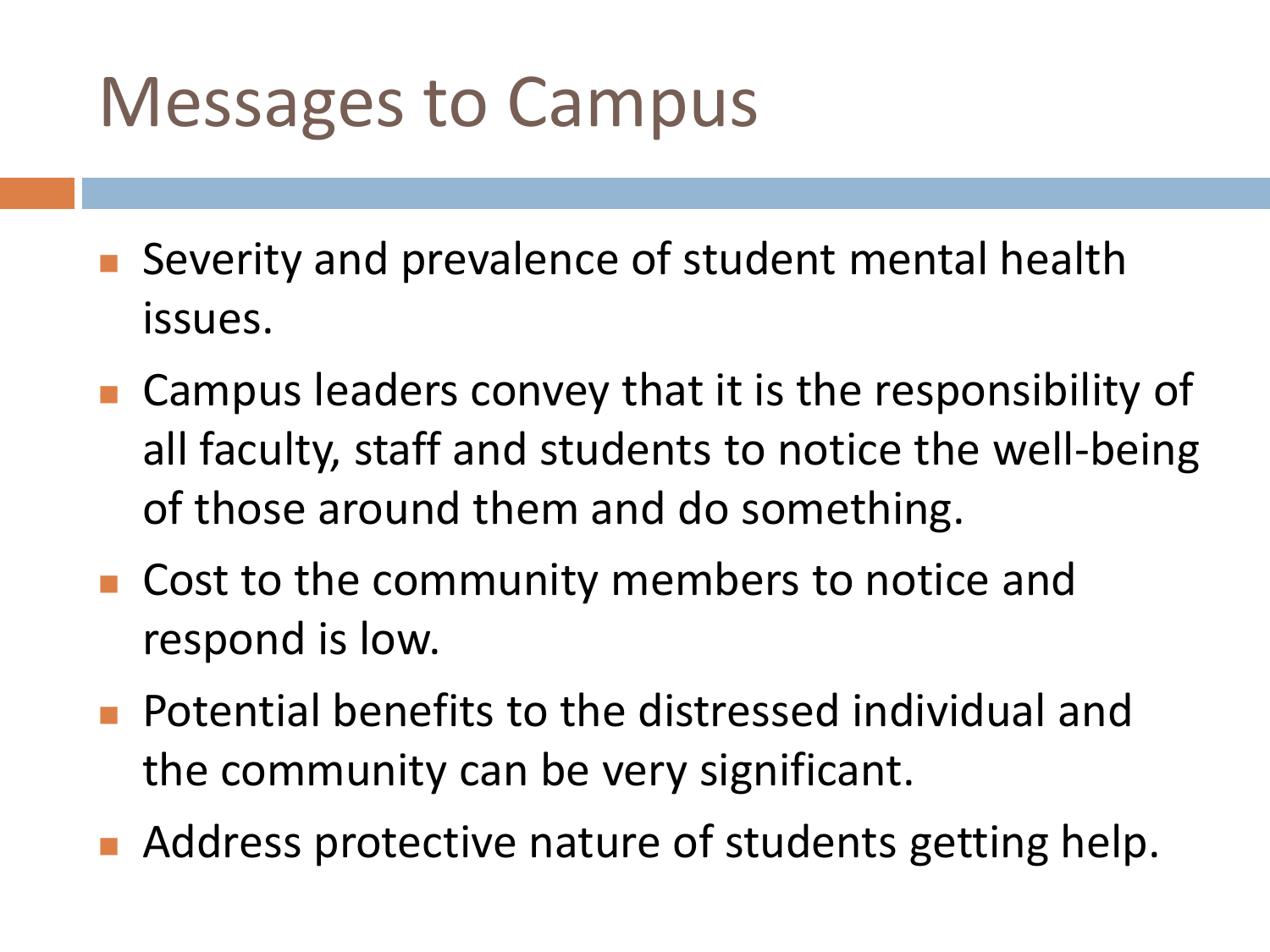#### Messages to Campus

- Severity and prevalence of student mental health issues.
- Campus leaders convey that it is the responsibility of all faculty, staff and students to notice the well-being of those around them and do something.
- Cost to the community members to notice and respond is low.
- Potential benefits to the distressed individual and the community can be very significant.
- Address protective nature of students getting help.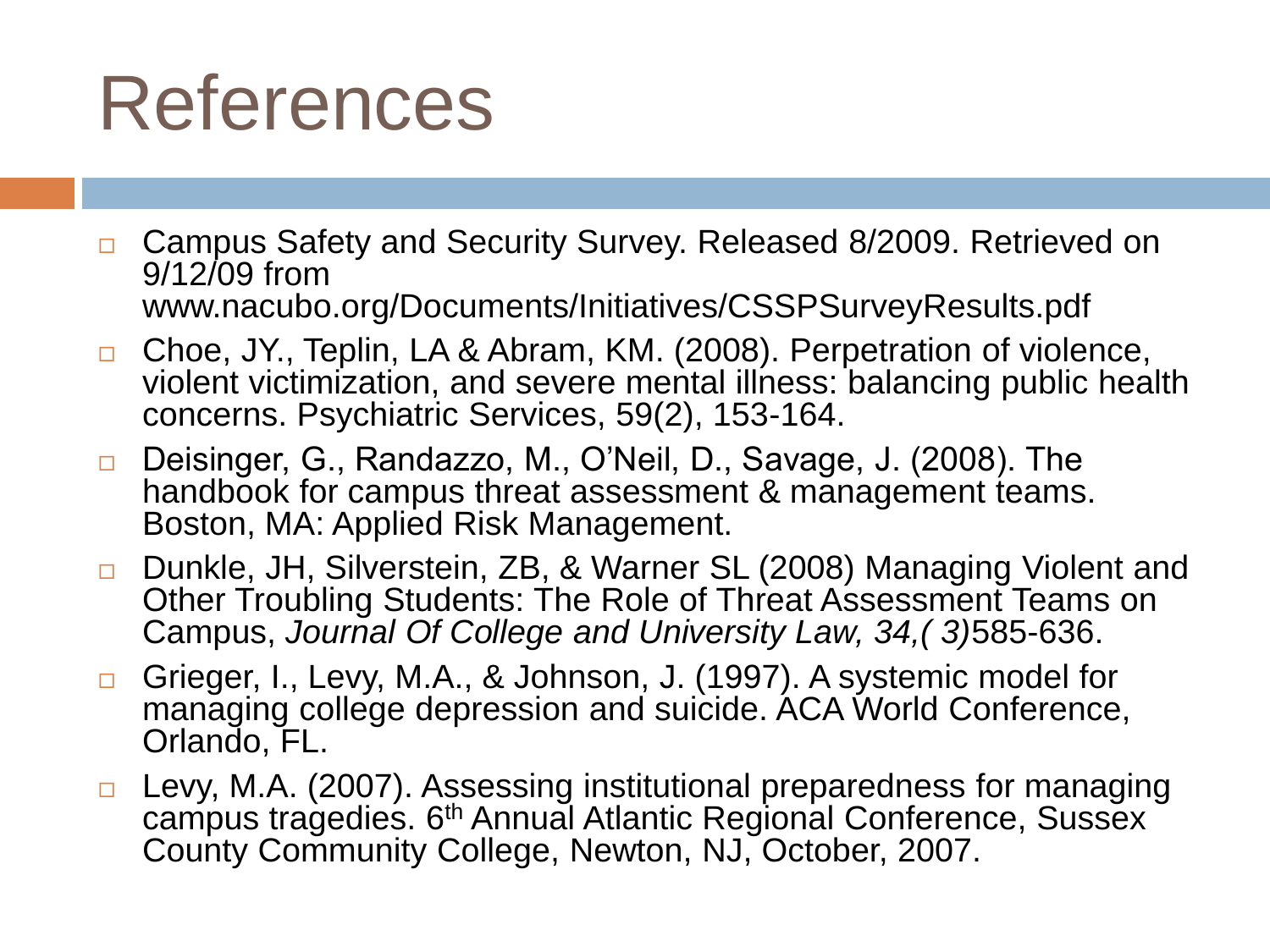### References

- □ Campus Safety and Security Survey. Released 8/2009. Retrieved on 9/12/09 from www.nacubo.org/Documents/Initiatives/CSSPSurveyResults.pdf
- □ Choe, JY., Teplin, LA & Abram, KM. (2008). Perpetration of violence, violent victimization, and severe mental illness: balancing public health concerns. Psychiatric Services, 59(2), 153-164.
- □ Deisinger, G., Randazzo, M., O'Neil, D., Savage, J. (2008). The handbook for campus threat assessment & management teams. Boston, MA: Applied Risk Management.
- □ Dunkle, JH, Silverstein, ZB, & Warner SL (2008) Managing Violent and Other Troubling Students: The Role of Threat Assessment Teams on Campus, *Journal Of College and University Law, 34,( 3)*585-636.
- □ Grieger, I., Levy, M.A., & Johnson, J. (1997). A systemic model for managing college depression and suicide. ACA World Conference, Orlando, FL.
- □ Levy, M.A. (2007). Assessing institutional preparedness for managing campus tragedies. 6<sup>th</sup> Annual Atlantic Regional Conference, Sussex County Community College, Newton, NJ, October, 2007.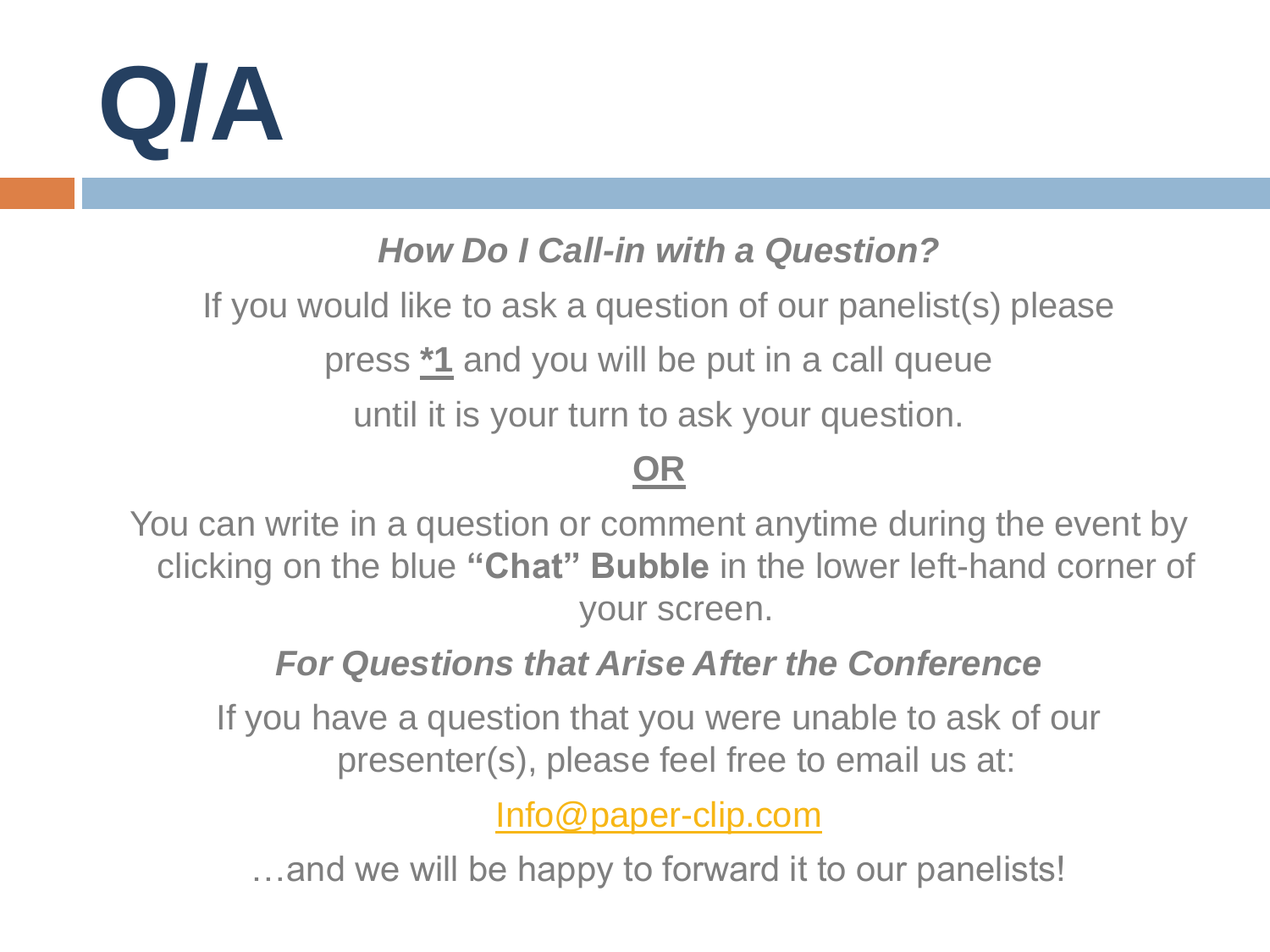

#### *How Do I Call-in with a Question?*

If you would like to ask a question of our panelist(s) please

press **\*1** and you will be put in a call queue

until it is your turn to ask your question.

#### **OR**

You can write in a question or comment anytime during the event by clicking on the blue **"Chat" Bubble** in the lower left-hand corner of your screen.

#### *For Questions that Arise After the Conference*

If you have a question that you were unable to ask of our presenter(s), please feel free to email us at:

[Info@paper-clip.com](mailto:Info@paper-clip.com)

…and we will be happy to forward it to our panelists!